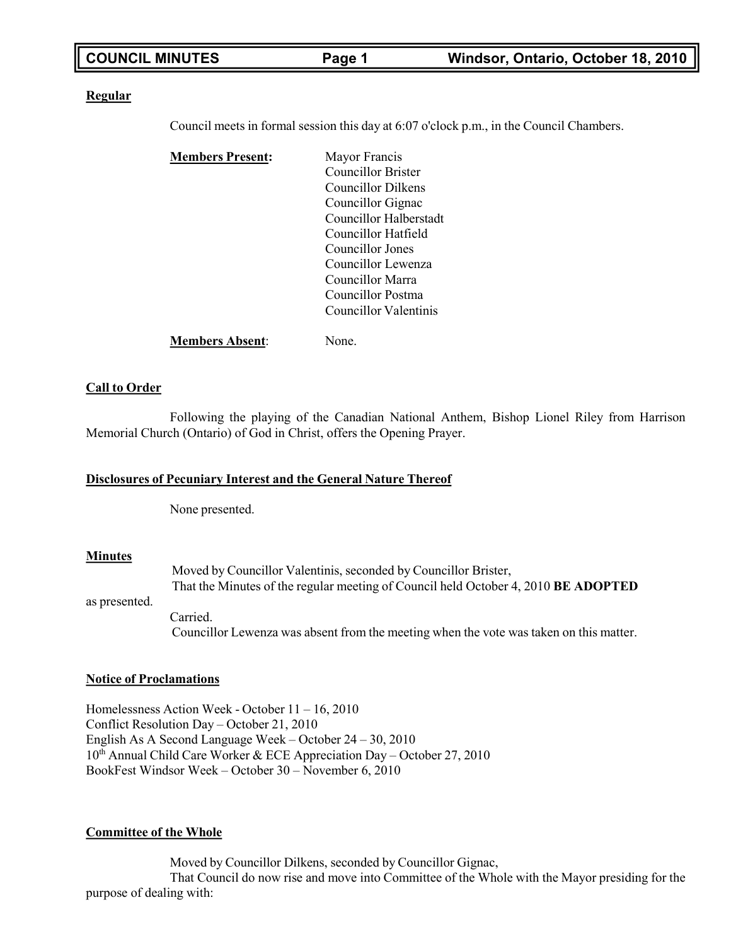| <b>COUNCIL MINUTES</b> | Page 1 | Windsor, Ontario, October 18, 2010 |
|------------------------|--------|------------------------------------|

### **Regular**

Council meets in formal session this day at 6:07 o'clock p.m., in the Council Chambers.

| <b>Members Present:</b> | Mayor Francis             |
|-------------------------|---------------------------|
|                         | <b>Councillor Brister</b> |
|                         | Councillor Dilkens        |
|                         | Councillor Gignac         |
|                         | Councillor Halberstadt    |
|                         | Councillor Hatfield       |
|                         | Councillor Jones          |
|                         | Councillor Lewenza        |
|                         | Councillor Marra          |
|                         | Councillor Postma         |
|                         | Councillor Valentinis     |
|                         |                           |

**Call to Order**

Following the playing of the Canadian National Anthem, Bishop Lionel Riley from Harrison Memorial Church (Ontario) of God in Christ, offers the Opening Prayer.

### **Disclosures of Pecuniary Interest and the General Nature Thereof**

**Members Absent**: None.

None presented.

### **Minutes**

Moved by Councillor Valentinis, seconded by Councillor Brister, That the Minutes of the regular meeting of Council held October 4, 2010 **BE ADOPTED**

as presented.

Carried. Councillor Lewenza was absent from the meeting when the vote was taken on this matter.

### **Notice of Proclamations**

Homelessness Action Week - October 11 – 16, 2010 Conflict Resolution Day – October 21, 2010 English As A Second Language Week – October 24 – 30, 2010 10th Annual Child Care Worker & ECE Appreciation Day – October 27, 2010 BookFest Windsor Week – October 30 – November 6, 2010

### **Committee of the Whole**

Moved by Councillor Dilkens, seconded by Councillor Gignac, That Council do now rise and move into Committee of the Whole with the Mayor presiding for the purpose of dealing with: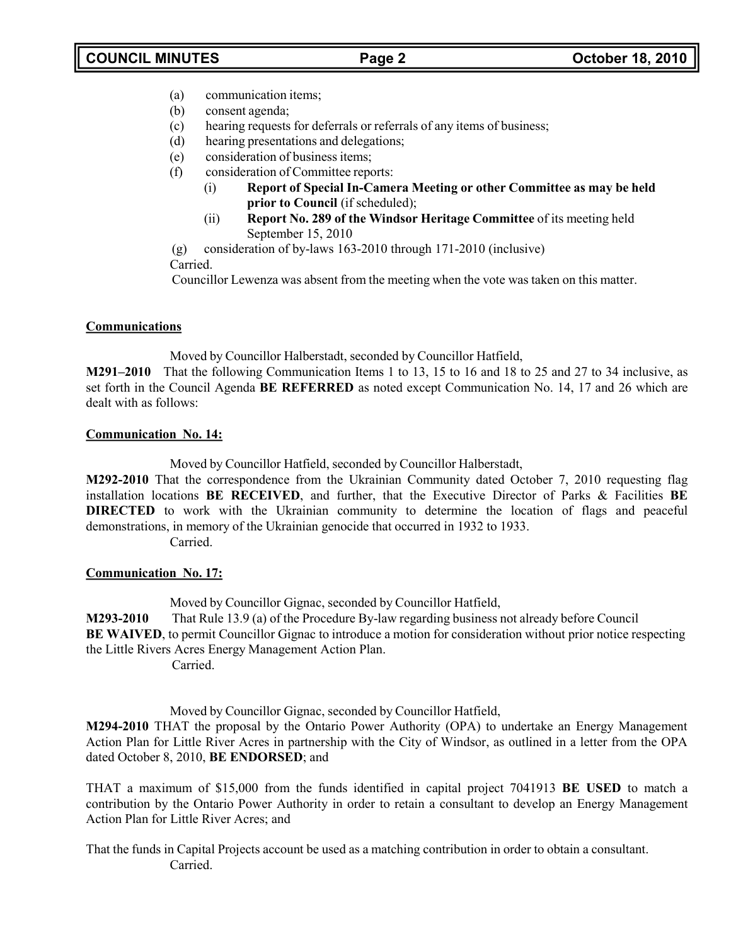- (a) communication items;
- (b) consent agenda;
- (c) hearing requests for deferrals or referrals of any items of business;
- (d) hearing presentations and delegations;
- (e) consideration of business items;
- (f) consideration of Committee reports:
	- (i) **Report of Special In-Camera Meeting or other Committee as may be held prior to Council** (if scheduled);
	- (ii) **Report No. 289 of the Windsor Heritage Committee** of its meeting held September 15, 2010

(g) consideration of by-laws 163-2010 through 171-2010 (inclusive) Carried.

Councillor Lewenza was absent from the meeting when the vote was taken on this matter.

### **Communications**

Moved by Councillor Halberstadt, seconded by Councillor Hatfield,

**M291–2010** That the following Communication Items 1 to 13, 15 to 16 and 18 to 25 and 27 to 34 inclusive, as set forth in the Council Agenda **BE REFERRED** as noted except Communication No. 14, 17 and 26 which are dealt with as follows:

### **Communication No. 14:**

Moved by Councillor Hatfield, seconded by Councillor Halberstadt,

**M292-2010** That the correspondence from the Ukrainian Community dated October 7, 2010 requesting flag installation locations **BE RECEIVED**, and further, that the Executive Director of Parks & Facilities **BE DIRECTED** to work with the Ukrainian community to determine the location of flags and peaceful demonstrations, in memory of the Ukrainian genocide that occurred in 1932 to 1933. Carried.

### **Communication No. 17:**

Moved by Councillor Gignac, seconded by Councillor Hatfield, **M293-2010** That Rule 13.9 (a) of the Procedure By-law regarding business not already before Council **BE WAIVED**, to permit Councillor Gignac to introduce a motion for consideration without prior notice respecting the Little Rivers Acres Energy Management Action Plan. Carried.

Moved by Councillor Gignac, seconded by Councillor Hatfield,

**M294-2010** THAT the proposal by the Ontario Power Authority (OPA) to undertake an Energy Management Action Plan for Little River Acres in partnership with the City of Windsor, as outlined in a letter from the OPA dated October 8, 2010, **BE ENDORSED**; and

THAT a maximum of \$15,000 from the funds identified in capital project 7041913 **BE USED** to match a contribution by the Ontario Power Authority in order to retain a consultant to develop an Energy Management Action Plan for Little River Acres; and

That the funds in Capital Projects account be used as a matching contribution in order to obtain a consultant. Carried.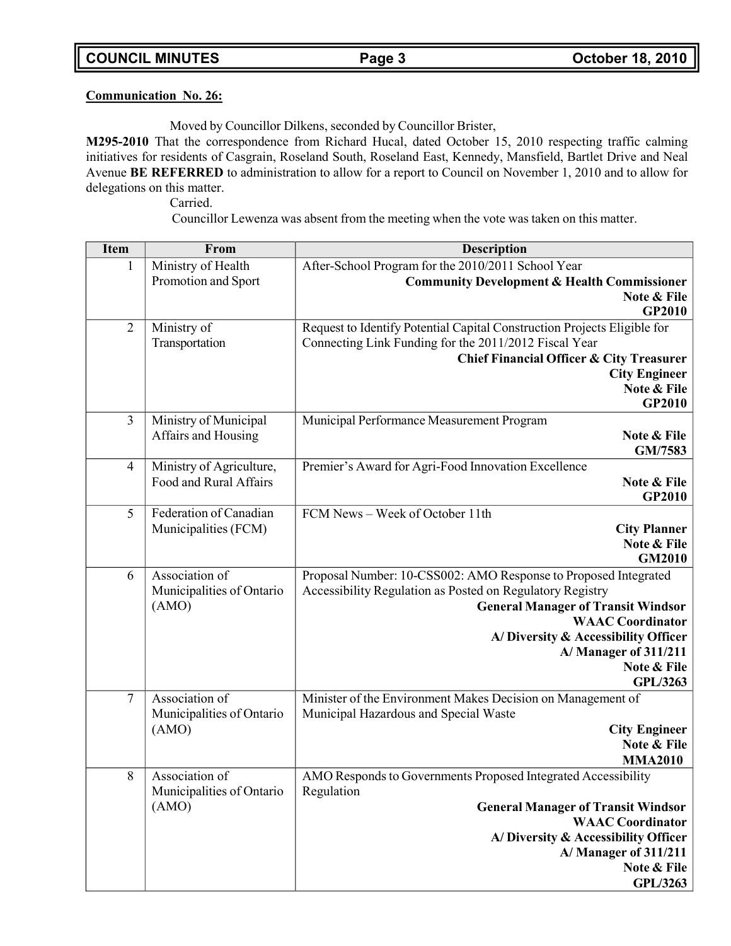### **Communication No. 26:**

Moved by Councillor Dilkens, seconded by Councillor Brister,

**M295-2010** That the correspondence from Richard Hucal, dated October 15, 2010 respecting traffic calming initiatives for residents of Casgrain, Roseland South, Roseland East, Kennedy, Mansfield, Bartlet Drive and Neal Avenue **BE REFERRED** to administration to allow for a report to Council on November 1, 2010 and to allow for delegations on this matter.

Carried.

Councillor Lewenza was absent from the meeting when the vote was taken on this matter.

| <b>Item</b>    | From                      | Description                                                              |
|----------------|---------------------------|--------------------------------------------------------------------------|
| 1              | Ministry of Health        | After-School Program for the 2010/2011 School Year                       |
|                | Promotion and Sport       | <b>Community Development &amp; Health Commissioner</b>                   |
|                |                           | Note & File                                                              |
|                |                           | GP2010                                                                   |
| $\overline{2}$ | Ministry of               | Request to Identify Potential Capital Construction Projects Eligible for |
|                | Transportation            | Connecting Link Funding for the 2011/2012 Fiscal Year                    |
|                |                           | <b>Chief Financial Officer &amp; City Treasurer</b>                      |
|                |                           | <b>City Engineer</b>                                                     |
|                |                           | Note & File                                                              |
|                |                           | GP2010                                                                   |
| 3              | Ministry of Municipal     | Municipal Performance Measurement Program                                |
|                | Affairs and Housing       | Note & File                                                              |
|                |                           | GM/7583                                                                  |
| $\overline{4}$ | Ministry of Agriculture,  | Premier's Award for Agri-Food Innovation Excellence                      |
|                | Food and Rural Affairs    | Note & File                                                              |
|                |                           | GP2010                                                                   |
| 5              | Federation of Canadian    | FCM News - Week of October 11th                                          |
|                | Municipalities (FCM)      | <b>City Planner</b>                                                      |
|                |                           | Note & File                                                              |
|                |                           | <b>GM2010</b>                                                            |
| 6              | Association of            | Proposal Number: 10-CSS002: AMO Response to Proposed Integrated          |
|                | Municipalities of Ontario | Accessibility Regulation as Posted on Regulatory Registry                |
|                | (AMO)                     | <b>General Manager of Transit Windsor</b><br><b>WAAC</b> Coordinator     |
|                |                           |                                                                          |
|                |                           | A/Diversity & Accessibility Officer<br>A/Manager of 311/211              |
|                |                           | Note & File                                                              |
|                |                           | <b>GPL/3263</b>                                                          |
| $\overline{7}$ | Association of            | Minister of the Environment Makes Decision on Management of              |
|                | Municipalities of Ontario | Municipal Hazardous and Special Waste                                    |
|                | (AMO)                     | <b>City Engineer</b>                                                     |
|                |                           | Note & File                                                              |
|                |                           | <b>MMA2010</b>                                                           |
| 8              | Association of            | AMO Responds to Governments Proposed Integrated Accessibility            |
|                | Municipalities of Ontario | Regulation                                                               |
|                | (AMO)                     | <b>General Manager of Transit Windsor</b>                                |
|                |                           | <b>WAAC</b> Coordinator                                                  |
|                |                           | A/Diversity & Accessibility Officer                                      |
|                |                           | A/Manager of 311/211                                                     |
|                |                           | Note & File                                                              |
|                |                           | <b>GPL/3263</b>                                                          |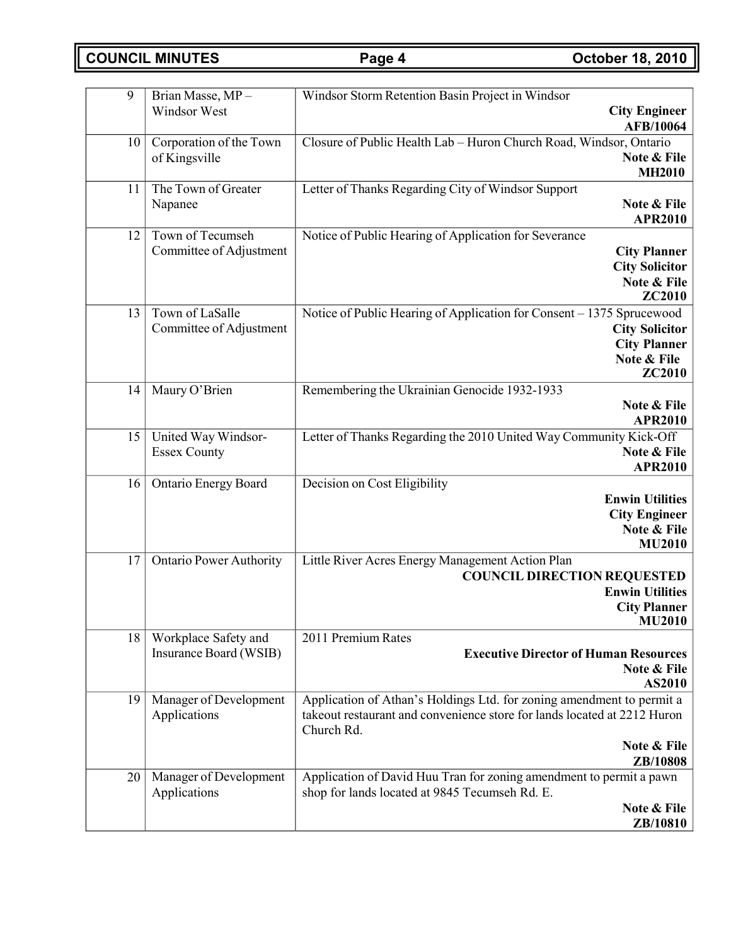**COUNCIL MINUTES Page 4 October 18, 2010**

| 9  | Brian Masse, MP-                       | Windsor Storm Retention Basin Project in Windsor                                                                      |
|----|----------------------------------------|-----------------------------------------------------------------------------------------------------------------------|
|    | Windsor West                           | <b>City Engineer</b><br><b>AFB/10064</b>                                                                              |
| 10 | Corporation of the Town                | Closure of Public Health Lab - Huron Church Road, Windsor, Ontario                                                    |
|    | of Kingsville                          | Note & File                                                                                                           |
| 11 | The Town of Greater                    | <b>MH2010</b><br>Letter of Thanks Regarding City of Windsor Support                                                   |
|    | Napanee                                | Note & File                                                                                                           |
|    |                                        | <b>APR2010</b>                                                                                                        |
| 12 | Town of Tecumseh                       | Notice of Public Hearing of Application for Severance                                                                 |
|    | Committee of Adjustment                | <b>City Planner</b>                                                                                                   |
|    |                                        | <b>City Solicitor</b>                                                                                                 |
|    |                                        | Note & File<br>ZC2010                                                                                                 |
| 13 | Town of LaSalle                        | Notice of Public Hearing of Application for Consent - 1375 Sprucewood                                                 |
|    | Committee of Adjustment                | <b>City Solicitor</b>                                                                                                 |
|    |                                        | <b>City Planner</b>                                                                                                   |
|    |                                        | Note & File<br><b>ZC2010</b>                                                                                          |
| 14 | Maury O'Brien                          | Remembering the Ukrainian Genocide 1932-1933                                                                          |
|    |                                        | Note & File                                                                                                           |
|    |                                        | <b>APR2010</b>                                                                                                        |
| 15 | United Way Windsor-                    | Letter of Thanks Regarding the 2010 United Way Community Kick-Off                                                     |
|    | <b>Essex County</b>                    | Note & File                                                                                                           |
| 16 | Ontario Energy Board                   | <b>APR2010</b><br>Decision on Cost Eligibility                                                                        |
|    |                                        | <b>Enwin Utilities</b>                                                                                                |
|    |                                        | <b>City Engineer</b>                                                                                                  |
|    |                                        | Note & File                                                                                                           |
|    |                                        | <b>MU2010</b>                                                                                                         |
| 17 | <b>Ontario Power Authority</b>         | Little River Acres Energy Management Action Plan                                                                      |
|    |                                        | <b>COUNCIL DIRECTION REQUESTED</b>                                                                                    |
|    |                                        | <b>Enwin Utilities</b><br><b>City Planner</b>                                                                         |
|    |                                        | <b>MU2010</b>                                                                                                         |
| 18 | Workplace Safety and                   | 2011 Premium Rates                                                                                                    |
|    | Insurance Board (WSIB)                 | <b>Executive Director of Human Resources</b>                                                                          |
|    |                                        | Note & File                                                                                                           |
| 19 | Manager of Development                 | AS2010<br>Application of Athan's Holdings Ltd. for zoning amendment to permit a                                       |
|    | Applications                           | takeout restaurant and convenience store for lands located at 2212 Huron                                              |
|    |                                        | Church Rd.                                                                                                            |
|    |                                        | Note & File                                                                                                           |
|    |                                        | ZB/10808                                                                                                              |
| 20 | Manager of Development<br>Applications | Application of David Huu Tran for zoning amendment to permit a pawn<br>shop for lands located at 9845 Tecumseh Rd. E. |
|    |                                        | Note & File                                                                                                           |
|    |                                        | ZB/10810                                                                                                              |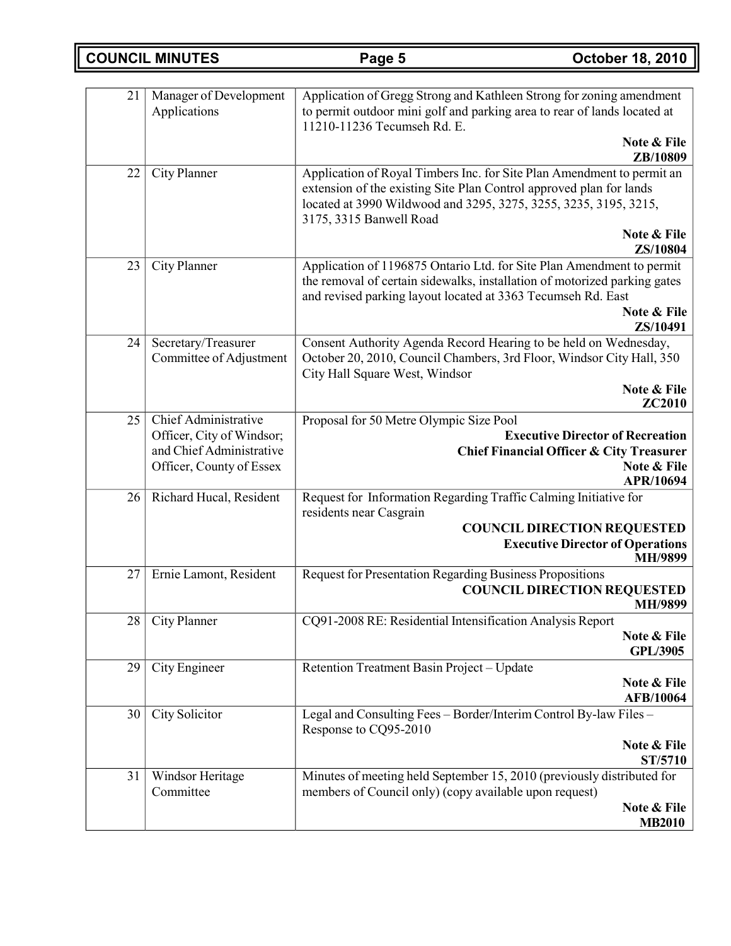| <b>COUNCIL MINUTES</b> |  |
|------------------------|--|
|------------------------|--|

| 21 | Manager of Development<br>Applications                                                                    | Application of Gregg Strong and Kathleen Strong for zoning amendment<br>to permit outdoor mini golf and parking area to rear of lands located at<br>11210-11236 Tecumseh Rd. E.                                                              |
|----|-----------------------------------------------------------------------------------------------------------|----------------------------------------------------------------------------------------------------------------------------------------------------------------------------------------------------------------------------------------------|
|    |                                                                                                           | Note & File<br>ZB/10809                                                                                                                                                                                                                      |
| 22 | City Planner                                                                                              | Application of Royal Timbers Inc. for Site Plan Amendment to permit an<br>extension of the existing Site Plan Control approved plan for lands<br>located at 3990 Wildwood and 3295, 3275, 3255, 3235, 3195, 3215,<br>3175, 3315 Banwell Road |
|    |                                                                                                           | Note & File<br>ZS/10804                                                                                                                                                                                                                      |
| 23 | City Planner                                                                                              | Application of 1196875 Ontario Ltd. for Site Plan Amendment to permit<br>the removal of certain sidewalks, installation of motorized parking gates<br>and revised parking layout located at 3363 Tecumseh Rd. East                           |
|    |                                                                                                           | Note & File<br>ZS/10491                                                                                                                                                                                                                      |
| 24 | Secretary/Treasurer<br>Committee of Adjustment                                                            | Consent Authority Agenda Record Hearing to be held on Wednesday,<br>October 20, 2010, Council Chambers, 3rd Floor, Windsor City Hall, 350<br>City Hall Square West, Windsor                                                                  |
|    |                                                                                                           | Note & File<br><b>ZC2010</b>                                                                                                                                                                                                                 |
| 25 | Chief Administrative<br>Officer, City of Windsor;<br>and Chief Administrative<br>Officer, County of Essex | Proposal for 50 Metre Olympic Size Pool<br><b>Executive Director of Recreation</b><br><b>Chief Financial Officer &amp; City Treasurer</b><br>Note & File<br>APR/10694                                                                        |
| 26 | Richard Hucal, Resident                                                                                   | Request for Information Regarding Traffic Calming Initiative for<br>residents near Casgrain<br><b>COUNCIL DIRECTION REQUESTED</b><br><b>Executive Director of Operations</b><br>MH/9899                                                      |
| 27 | Ernie Lamont, Resident                                                                                    | <b>Request for Presentation Regarding Business Propositions</b><br><b>COUNCIL DIRECTION REQUESTED</b><br>MH/9899                                                                                                                             |
| 28 | City Planner                                                                                              | CQ91-2008 RE: Residential Intensification Analysis Report<br>Note & File<br><b>GPL/3905</b>                                                                                                                                                  |
| 29 | City Engineer                                                                                             | Retention Treatment Basin Project - Update<br>Note & File<br><b>AFB/10064</b>                                                                                                                                                                |
| 30 | City Solicitor                                                                                            | Legal and Consulting Fees - Border/Interim Control By-law Files -<br>Response to CQ95-2010<br>Note & File<br>ST/5710                                                                                                                         |
| 31 | Windsor Heritage<br>Committee                                                                             | Minutes of meeting held September 15, 2010 (previously distributed for<br>members of Council only) (copy available upon request)<br>Note & File<br><b>MB2010</b>                                                                             |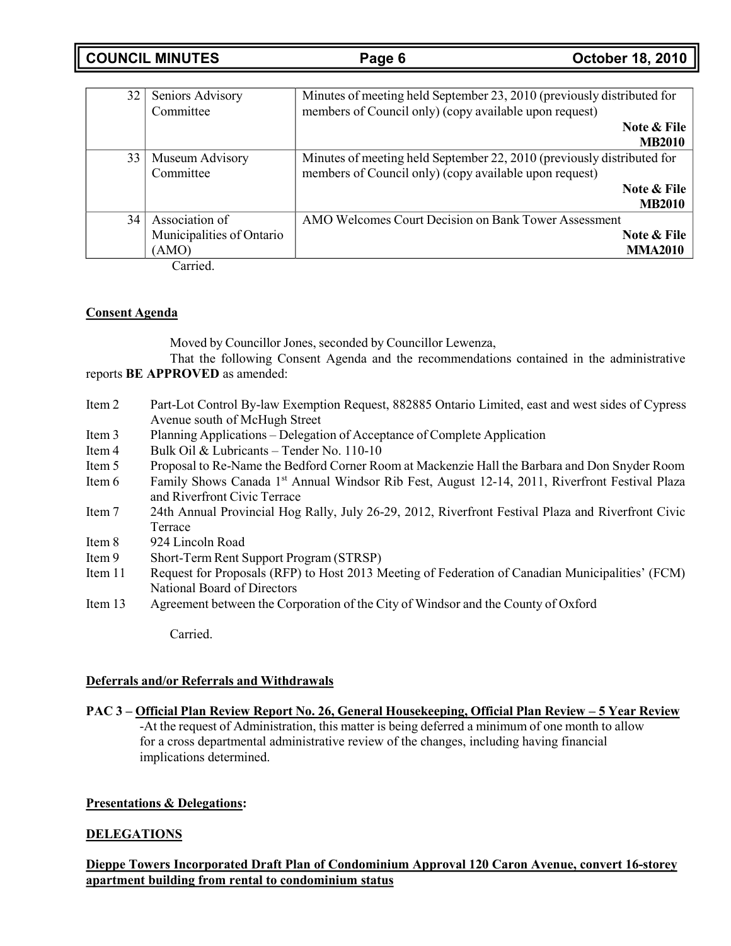**COUNCIL MINUTES Page 6 October 18, 2010**

| 32 | Seniors Advisory          | Minutes of meeting held September 23, 2010 (previously distributed for |
|----|---------------------------|------------------------------------------------------------------------|
|    | Committee                 | members of Council only) (copy available upon request)                 |
|    |                           | Note & File                                                            |
|    |                           | <b>MB2010</b>                                                          |
| 33 | Museum Advisory           | Minutes of meeting held September 22, 2010 (previously distributed for |
|    | Committee                 | members of Council only) (copy available upon request)                 |
|    |                           | Note & File                                                            |
|    |                           | <b>MB2010</b>                                                          |
| 34 | Association of            | AMO Welcomes Court Decision on Bank Tower Assessment                   |
|    | Municipalities of Ontario | Note & File                                                            |
|    | (AMO)                     | <b>MMA2010</b>                                                         |

Carried.

## **Consent Agenda**

Moved by Councillor Jones, seconded by Councillor Lewenza,

That the following Consent Agenda and the recommendations contained in the administrative reports **BE APPROVED** as amended:

- Item 2 Part-Lot Control By-law Exemption Request, 882885 Ontario Limited, east and west sides of Cypress Avenue south of McHugh Street
- Item 3 Planning Applications Delegation of Acceptance of Complete Application
- Item 4 Bulk Oil & Lubricants Tender No. 110-10
- Item 5 Proposal to Re-Name the Bedford Corner Room at Mackenzie Hall the Barbara and Don Snyder Room
- Item 6 Family Shows Canada 1st Annual Windsor Rib Fest, August 12-14, 2011, Riverfront Festival Plaza and Riverfront Civic Terrace
- Item 7 24th Annual Provincial Hog Rally, July 26-29, 2012, Riverfront Festival Plaza and Riverfront Civic Terrace
- Item 8 924 Lincoln Road
- Item 9 Short-Term Rent Support Program (STRSP)
- Item 11 Request for Proposals (RFP) to Host 2013 Meeting of Federation of Canadian Municipalities' (FCM) National Board of Directors
- Item 13 Agreement between the Corporation of the City of Windsor and the County of Oxford

Carried.

### **Deferrals and/or Referrals and Withdrawals**

PAC 3 – Official Plan Review Report No. 26, General Housekeeping, Official Plan Review – 5 Year Review

-At the request of Administration, this matter is being deferred a minimum of one month to allow for a cross departmental administrative review of the changes, including having financial implications determined.

# **Presentations & Delegations:**

# **DELEGATIONS**

**Dieppe Towers Incorporated Draft Plan of Condominium Approval 120 Caron Avenue, convert 16-storey apartment building from rental to condominium status**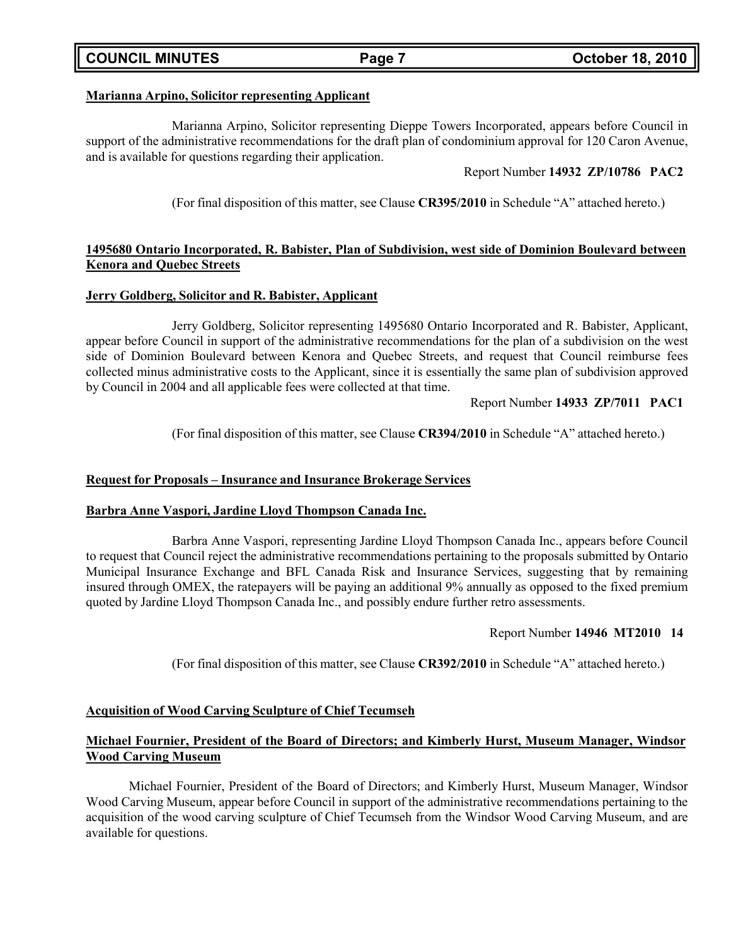# **COUNCIL MINUTES Page 7 October 18, 2010**

# **Marianna Arpino, Solicitor representing Applicant**

Marianna Arpino, Solicitor representing Dieppe Towers Incorporated, appears before Council in support of the administrative recommendations for the draft plan of condominium approval for 120 Caron Avenue, and is available for questions regarding their application.

# Report Number **14932 ZP/10786 PAC2**

(For final disposition of this matter, see Clause **CR395/2010** in Schedule "A" attached hereto.)

# **1495680 Ontario Incorporated, R. Babister, Plan of Subdivision, west side of Dominion Boulevard between Kenora and Quebec Streets**

# **Jerry Goldberg, Solicitor and R. Babister, Applicant**

Jerry Goldberg, Solicitor representing 1495680 Ontario Incorporated and R. Babister, Applicant, appear before Council in support of the administrative recommendations for the plan of a subdivision on the west side of Dominion Boulevard between Kenora and Quebec Streets, and request that Council reimburse fees collected minus administrative costs to the Applicant, since it is essentially the same plan of subdivision approved by Council in 2004 and all applicable fees were collected at that time.

Report Number **14933 ZP/7011 PAC1**

(For final disposition of this matter, see Clause **CR394/2010** in Schedule "A" attached hereto.)

# **Request for Proposals – Insurance and Insurance Brokerage Services**

# **Barbra Anne Vaspori, Jardine Lloyd Thompson Canada Inc.**

Barbra Anne Vaspori, representing Jardine Lloyd Thompson Canada Inc., appears before Council to request that Council reject the administrative recommendations pertaining to the proposals submitted by Ontario Municipal Insurance Exchange and BFL Canada Risk and Insurance Services, suggesting that by remaining insured through OMEX, the ratepayers will be paying an additional 9% annually as opposed to the fixed premium quoted by Jardine Lloyd Thompson Canada Inc., and possibly endure further retro assessments.

# Report Number **14946 MT2010 14**

(For final disposition of this matter, see Clause **CR392/2010** in Schedule "A" attached hereto.)

# **Acquisition of Wood Carving Sculpture of Chief Tecumseh**

# **Michael Fournier, President of the Board of Directors; and Kimberly Hurst, Museum Manager, Windsor Wood Carving Museum**

Michael Fournier, President of the Board of Directors; and Kimberly Hurst, Museum Manager, Windsor Wood Carving Museum, appear before Council in support of the administrative recommendations pertaining to the acquisition of the wood carving sculpture of Chief Tecumseh from the Windsor Wood Carving Museum, and are available for questions.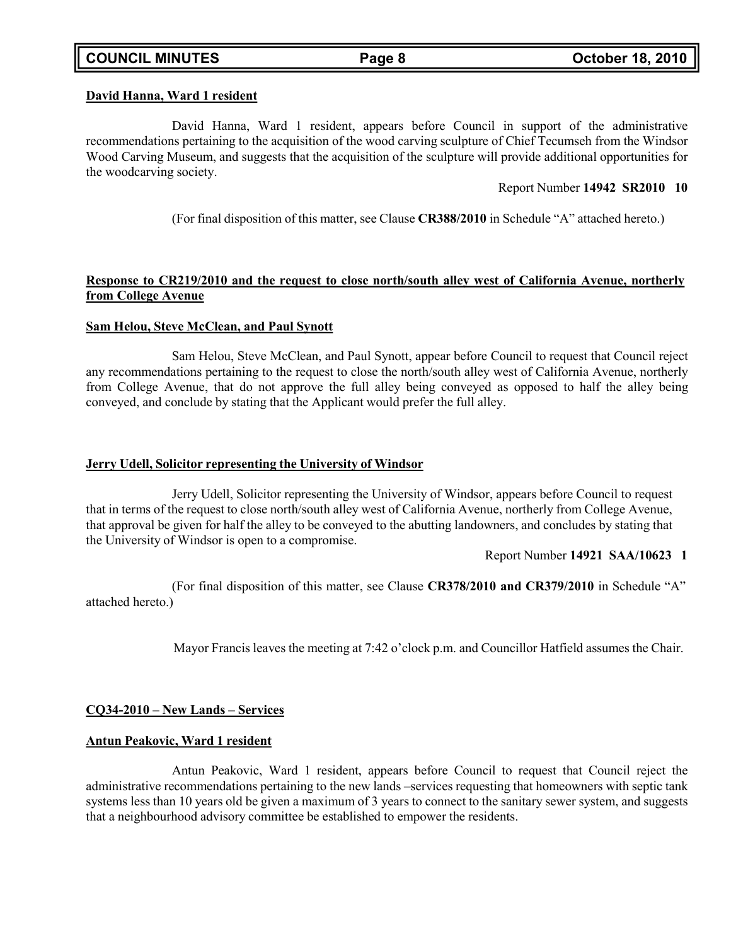### **David Hanna, Ward 1 resident**

David Hanna, Ward 1 resident, appears before Council in support of the administrative recommendations pertaining to the acquisition of the wood carving sculpture of Chief Tecumseh from the Windsor Wood Carving Museum, and suggests that the acquisition of the sculpture will provide additional opportunities for the woodcarving society.

### Report Number **14942 SR2010 10**

(For final disposition of this matter, see Clause **CR388/2010** in Schedule "A" attached hereto.)

### **Response to CR219/2010 and the request to close north/south alley west of California Avenue, northerly from College Avenue**

### **Sam Helou, Steve McClean, and Paul Synott**

Sam Helou, Steve McClean, and Paul Synott, appear before Council to request that Council reject any recommendations pertaining to the request to close the north/south alley west of California Avenue, northerly from College Avenue, that do not approve the full alley being conveyed as opposed to half the alley being conveyed, and conclude by stating that the Applicant would prefer the full alley.

### **Jerry Udell, Solicitor representing the University of Windsor**

Jerry Udell, Solicitor representing the University of Windsor, appears before Council to request that in terms of the request to close north/south alley west of California Avenue, northerly from College Avenue, that approval be given for half the alley to be conveyed to the abutting landowners, and concludes by stating that the University of Windsor is open to a compromise.

### Report Number **14921 SAA/10623 1**

(For final disposition of this matter, see Clause **CR378/2010 and CR379/2010** in Schedule "A" attached hereto.)

Mayor Francis leaves the meeting at 7:42 o'clock p.m. and Councillor Hatfield assumes the Chair.

### **CQ34-2010 – New Lands – Services**

### **Antun Peakovic, Ward 1 resident**

Antun Peakovic, Ward 1 resident, appears before Council to request that Council reject the administrative recommendations pertaining to the new lands –services requesting that homeowners with septic tank systems less than 10 years old be given a maximum of 3 years to connect to the sanitary sewer system, and suggests that a neighbourhood advisory committee be established to empower the residents.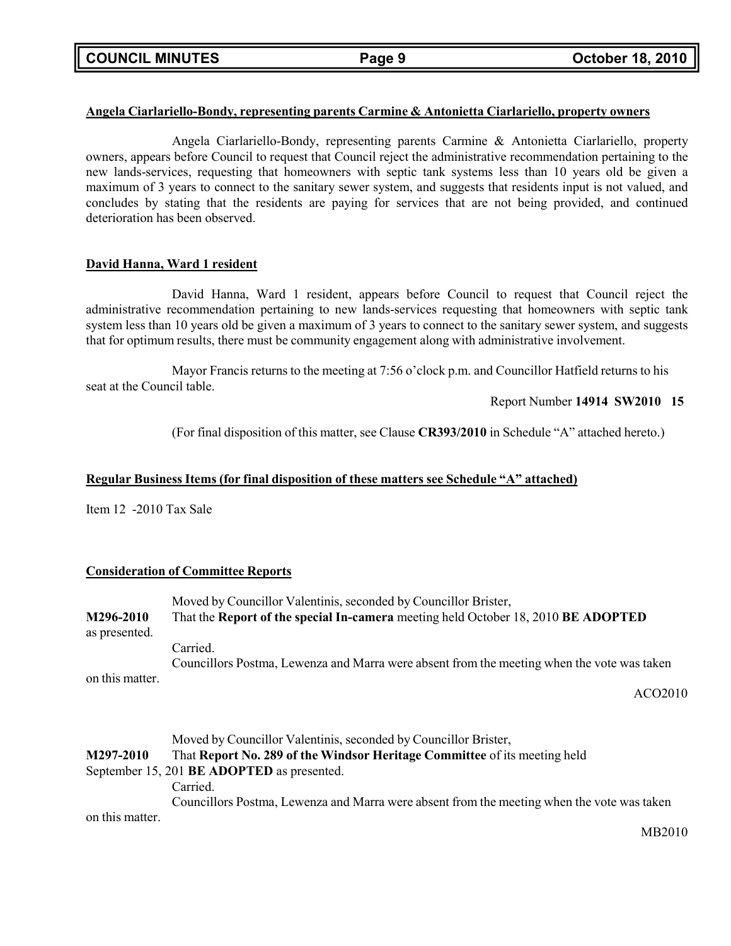### **Angela Ciarlariello-Bondy, representing parents Carmine & Antonietta Ciarlariello, property owners**

Angela Ciarlariello-Bondy, representing parents Carmine & Antonietta Ciarlariello, property owners, appears before Council to request that Council reject the administrative recommendation pertaining to the new lands-services, requesting that homeowners with septic tank systems less than 10 years old be given a maximum of 3 years to connect to the sanitary sewer system, and suggests that residents input is not valued, and concludes by stating that the residents are paying for services that are not being provided, and continued deterioration has been observed.

### **David Hanna, Ward 1 resident**

David Hanna, Ward 1 resident, appears before Council to request that Council reject the administrative recommendation pertaining to new lands-services requesting that homeowners with septic tank system less than 10 years old be given a maximum of 3 years to connect to the sanitary sewer system, and suggests that for optimum results, there must be community engagement along with administrative involvement.

Mayor Francis returns to the meeting at 7:56 o'clock p.m. and Councillor Hatfield returns to his seat at the Council table.

Report Number **14914 SW2010 15**

(For final disposition of this matter, see Clause **CR393/2010** in Schedule "A" attached hereto.)

### **Regular Business Items (for final disposition of these matters see Schedule "A" attached)**

Item 12 -2010 Tax Sale

### **Consideration of Committee Reports**

|                 | Moved by Councillor Valentinis, seconded by Councillor Brister,                            |
|-----------------|--------------------------------------------------------------------------------------------|
| M296-2010       | That the Report of the special In-camera meeting held October 18, 2010 BE ADOPTED          |
| as presented.   |                                                                                            |
|                 | Carried.                                                                                   |
|                 | Councillors Postma, Lewenza and Marra were absent from the meeting when the vote was taken |
| on this matter. |                                                                                            |
|                 | ACO <sub>2010</sub>                                                                        |
|                 |                                                                                            |
|                 |                                                                                            |
|                 | Moved by Councillor Valentinis, seconded by Councillor Brister,                            |
| M297-2010       | That Report No. 289 of the Windsor Heritage Committee of its meeting held                  |
|                 | September 15, 201 BE ADOPTED as presented.                                                 |
|                 | Carried.                                                                                   |
|                 | Councillors Postma, Lewenza and Marra were absent from the meeting when the vote was taken |
| on this matter. |                                                                                            |

MB2010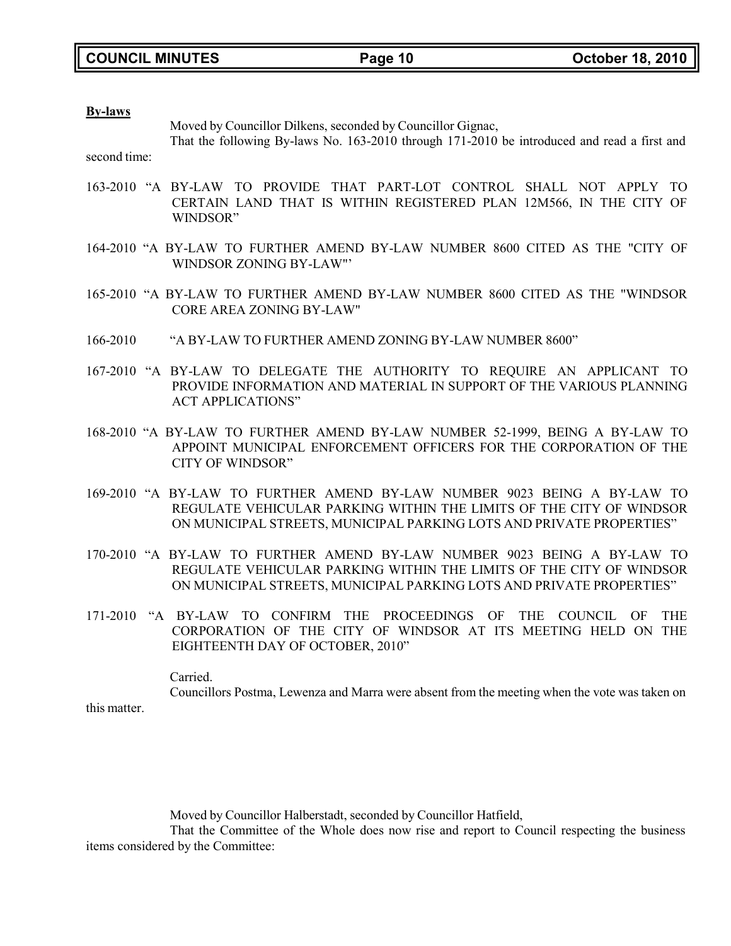### **By-laws**

Moved by Councillor Dilkens, seconded by Councillor Gignac,

second time: That the following By-laws No. 163-2010 through 171-2010 be introduced and read a first and

- 163-2010 "A BY-LAW TO PROVIDE THAT PART-LOT CONTROL SHALL NOT APPLY TO CERTAIN LAND THAT IS WITHIN REGISTERED PLAN 12M566, IN THE CITY OF WINDSOR"
- 164-2010 "A BY-LAW TO FURTHER AMEND BY-LAW NUMBER 8600 CITED AS THE "CITY OF WINDSOR ZONING BY-LAW"'
- 165-2010 "A BY-LAW TO FURTHER AMEND BY-LAW NUMBER 8600 CITED AS THE "WINDSOR CORE AREA ZONING BY-LAW"
- 166-2010 "A BY-LAW TO FURTHER AMEND ZONING BY-LAW NUMBER 8600"
- 167-2010 "A BY-LAW TO DELEGATE THE AUTHORITY TO REQUIRE AN APPLICANT TO PROVIDE INFORMATION AND MATERIAL IN SUPPORT OF THE VARIOUS PLANNING ACT APPLICATIONS"
- 168-2010 "A BY-LAW TO FURTHER AMEND BY-LAW NUMBER 52-1999, BEING A BY-LAW TO APPOINT MUNICIPAL ENFORCEMENT OFFICERS FOR THE CORPORATION OF THE CITY OF WINDSOR"
- 169-2010 "A BY-LAW TO FURTHER AMEND BY-LAW NUMBER 9023 BEING A BY-LAW TO REGULATE VEHICULAR PARKING WITHIN THE LIMITS OF THE CITY OF WINDSOR ON MUNICIPAL STREETS, MUNICIPAL PARKING LOTS AND PRIVATE PROPERTIES"
- 170-2010 "A BY-LAW TO FURTHER AMEND BY-LAW NUMBER 9023 BEING A BY-LAW TO REGULATE VEHICULAR PARKING WITHIN THE LIMITS OF THE CITY OF WINDSOR ON MUNICIPAL STREETS, MUNICIPAL PARKING LOTS AND PRIVATE PROPERTIES"
- 171-2010 "A BY-LAW TO CONFIRM THE PROCEEDINGS OF THE COUNCIL OF THE CORPORATION OF THE CITY OF WINDSOR AT ITS MEETING HELD ON THE EIGHTEENTH DAY OF OCTOBER, 2010"

Carried. Councillors Postma, Lewenza and Marra were absent from the meeting when the vote was taken on

this matter.

Moved by Councillor Halberstadt, seconded by Councillor Hatfield,

That the Committee of the Whole does now rise and report to Council respecting the business items considered by the Committee: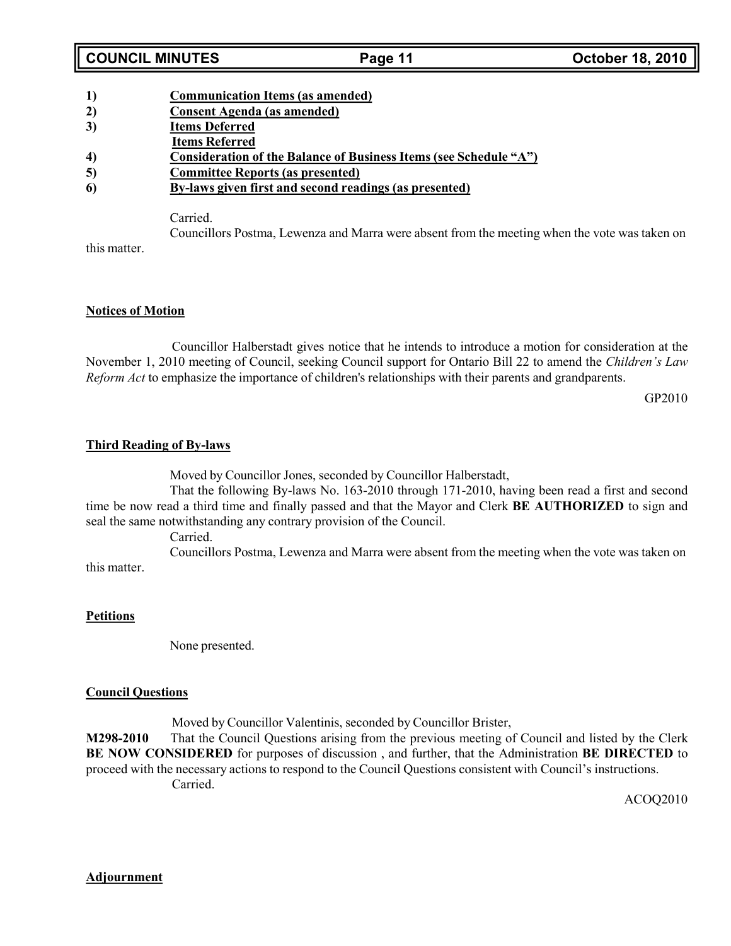# **COUNCIL MINUTES Page 11 October 18, 2010**

- **1) Communication Items (as amended)**
- **2) Consent Agenda (as amended)**
- **3) Items Deferred**
- **Items Referred**
- **4) Consideration of the Balance of Business Items (see Schedule "A")**
- **5) Committee Reports (as presented)**
- **6) By-laws given first and second readings (as presented)**

Carried.

Councillors Postma, Lewenza and Marra were absent from the meeting when the vote was taken on

this matter.

# **Notices of Motion**

Councillor Halberstadt gives notice that he intends to introduce a motion for consideration at the November 1, 2010 meeting of Council, seeking Council support for Ontario Bill 22 to amend the *Children's Law Reform Act* to emphasize the importance of children's relationships with their parents and grandparents.

GP2010

# **Third Reading of By-laws**

Moved by Councillor Jones, seconded by Councillor Halberstadt,

That the following By-laws No. 163-2010 through 171-2010, having been read a first and second time be now read a third time and finally passed and that the Mayor and Clerk **BE AUTHORIZED** to sign and seal the same notwithstanding any contrary provision of the Council.

Carried.

Councillors Postma, Lewenza and Marra were absent from the meeting when the vote was taken on this matter.

# **Petitions**

None presented.

# **Council Questions**

Moved by Councillor Valentinis, seconded by Councillor Brister,

**M298-2010** That the Council Questions arising from the previous meeting of Council and listed by the Clerk **BE NOW CONSIDERED** for purposes of discussion , and further, that the Administration **BE DIRECTED** to proceed with the necessary actions to respond to the Council Questions consistent with Council's instructions. Carried.

ACOQ2010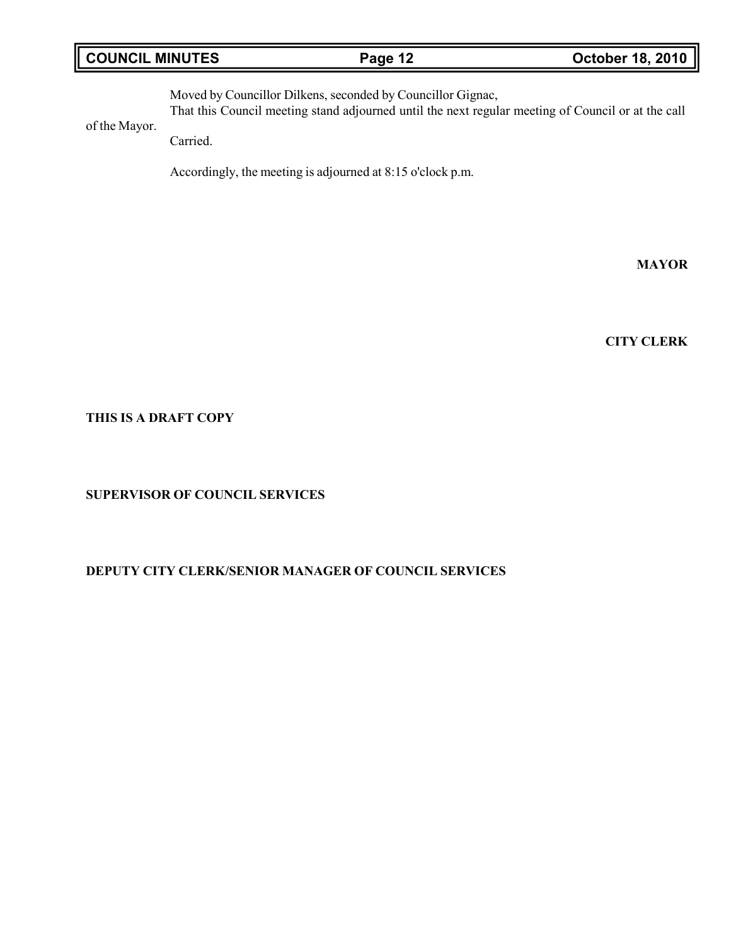# **COUNCIL MINUTES Page 12 October 18, 2010**

Moved by Councillor Dilkens, seconded by Councillor Gignac, That this Council meeting stand adjourned until the next regular meeting of Council or at the call

of the Mayor.

Carried.

Accordingly, the meeting is adjourned at 8:15 o'clock p.m.

**MAYOR**

**CITY CLERK**

**THIS IS A DRAFT COPY**

**SUPERVISOR OF COUNCIL SERVICES**

# **DEPUTY CITY CLERK/SENIOR MANAGER OF COUNCIL SERVICES**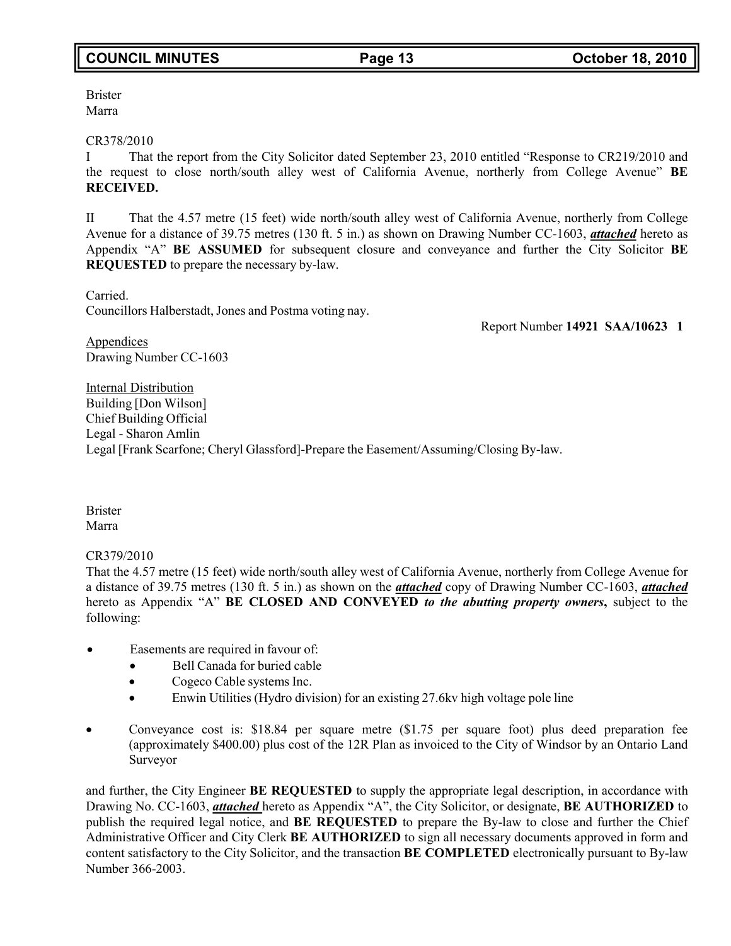Brister Marra

### CR378/2010

I That the report from the City Solicitor dated September 23, 2010 entitled "Response to CR219/2010 and the request to close north/south alley west of California Avenue, northerly from College Avenue" **BE RECEIVED.**

II That the 4.57 metre (15 feet) wide north/south alley west of California Avenue, northerly from College Avenue for a distance of 39.75 metres (130 ft. 5 in.) as shown on Drawing Number CC-1603, *attached* hereto as Appendix "A" **BE ASSUMED** for subsequent closure and conveyance and further the City Solicitor **BE REQUESTED** to prepare the necessary by-law.

Carried. Councillors Halberstadt, Jones and Postma voting nay.

Report Number **14921 SAA/10623 1**

**Appendices** Drawing Number CC-1603

Internal Distribution Building [Don Wilson] Chief Building Official Legal - Sharon Amlin Legal [Frank Scarfone; Cheryl Glassford]-Prepare the Easement/Assuming/Closing By-law.

Brister Marra

CR379/2010

That the 4.57 metre (15 feet) wide north/south alley west of California Avenue, northerly from College Avenue for a distance of 39.75 metres (130 ft. 5 in.) as shown on the *attached* copy of Drawing Number CC-1603, *attached* hereto as Appendix "A" **BE CLOSED AND CONVEYED** *to the abutting property owners***,** subject to the following:

- Easements are required in favour of:
	- Bell Canada for buried cable
	- Cogeco Cable systems Inc.
	- Enwin Utilities (Hydro division) for an existing 27.6kv high voltage pole line
- Conveyance cost is: \$18.84 per square metre (\$1.75 per square foot) plus deed preparation fee (approximately \$400.00) plus cost of the 12R Plan as invoiced to the City of Windsor by an Ontario Land Surveyor

and further, the City Engineer **BE REQUESTED** to supply the appropriate legal description, in accordance with Drawing No. CC-1603, *attached* hereto as Appendix "A", the City Solicitor, or designate, **BE AUTHORIZED** to publish the required legal notice, and **BE REQUESTED** to prepare the By-law to close and further the Chief Administrative Officer and City Clerk **BE AUTHORIZED** to sign all necessary documents approved in form and content satisfactory to the City Solicitor, and the transaction **BE COMPLETED** electronically pursuant to By-law Number 366-2003.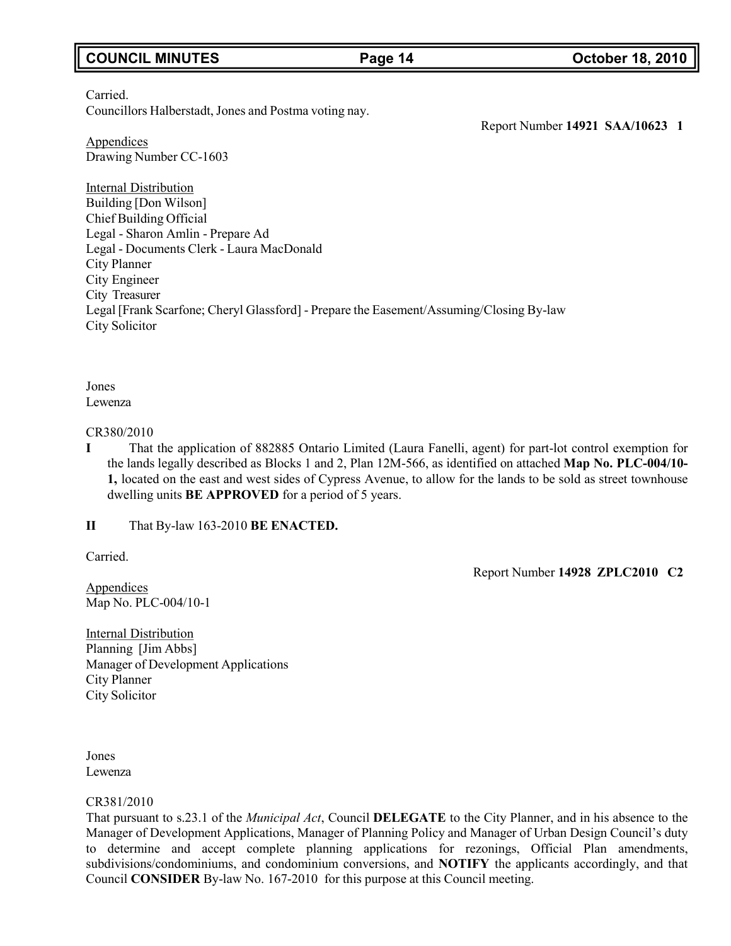# **COUNCIL MINUTES Page 14 October 18, 2010**

### Carried. Councillors Halberstadt, Jones and Postma voting nay.

Report Number **14921 SAA/10623 1**

Appendices Drawing Number CC-1603

Internal Distribution Building [Don Wilson] Chief Building Official Legal - Sharon Amlin - Prepare Ad Legal - Documents Clerk - Laura MacDonald City Planner City Engineer City Treasurer Legal [Frank Scarfone; Cheryl Glassford] - Prepare the Easement/Assuming/Closing By-law City Solicitor

Jones Lewenza

### CR380/2010

**I** That the application of 882885 Ontario Limited (Laura Fanelli, agent) for part-lot control exemption for the lands legally described as Blocks 1 and 2, Plan 12M-566, as identified on attached **Map No. PLC-004/10- 1,** located on the east and west sides of Cypress Avenue, to allow for the lands to be sold as street townhouse dwelling units **BE APPROVED** for a period of 5 years.

**II** That By-law 163-2010 **BE ENACTED.**

Carried.

Report Number **14928 ZPLC2010 C2**

**Appendices** Map No. PLC-004/10-1

Internal Distribution Planning [Jim Abbs] Manager of Development Applications City Planner City Solicitor

Jones Lewenza

### CR381/2010

That pursuant to s.23.1 of the *Municipal Act*, Council **DELEGATE** to the City Planner, and in his absence to the Manager of Development Applications, Manager of Planning Policy and Manager of Urban Design Council's duty to determine and accept complete planning applications for rezonings, Official Plan amendments, subdivisions/condominiums, and condominium conversions, and **NOTIFY** the applicants accordingly, and that Council **CONSIDER** By-law No. 167-2010 for this purpose at this Council meeting.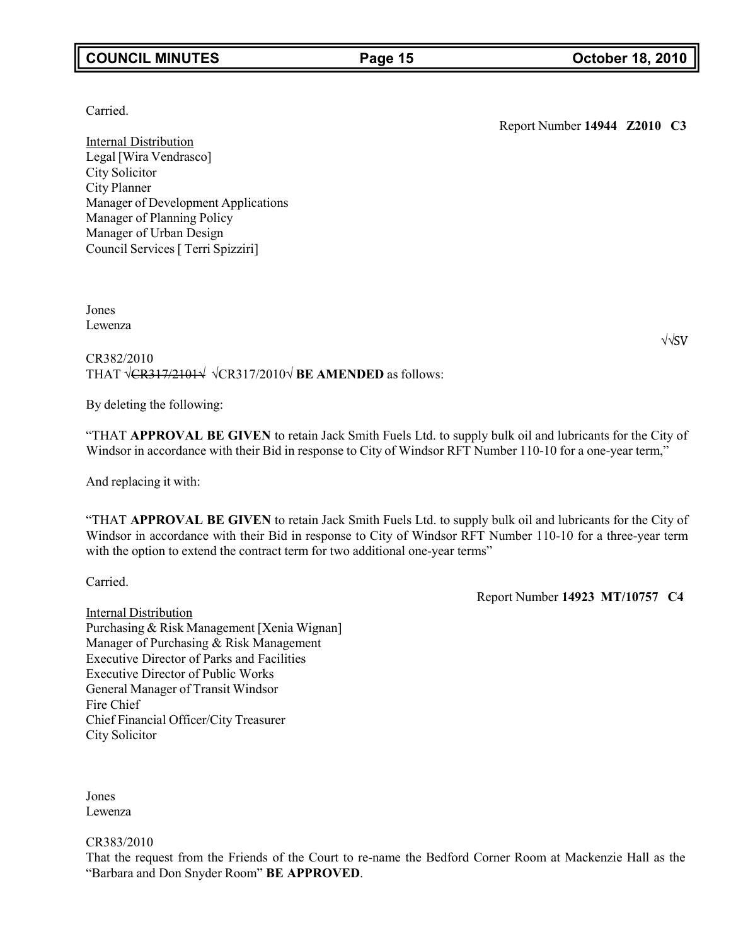# **COUNCIL MINUTES Page 15 October 18, 2010**

### Carried.

Internal Distribution Legal [Wira Vendrasco] City Solicitor City Planner Manager of Development Applications Manager of Planning Policy Manager of Urban Design Council Services [ Terri Spizziri]

Jones Lewenza

CR382/2010 THAT √CR317/2101√ √CR317/2010√ **BE AMENDED** as follows:

By deleting the following:

"THAT **APPROVAL BE GIVEN** to retain Jack Smith Fuels Ltd. to supply bulk oil and lubricants for the City of Windsor in accordance with their Bid in response to City of Windsor RFT Number 110-10 for a one-year term,"

And replacing it with:

"THAT **APPROVAL BE GIVEN** to retain Jack Smith Fuels Ltd. to supply bulk oil and lubricants for the City of Windsor in accordance with their Bid in response to City of Windsor RFT Number 110-10 for a three-year term with the option to extend the contract term for two additional one-year terms"

Carried.

Report Number **14923 MT/10757 C4**

Internal Distribution Purchasing & Risk Management [Xenia Wignan] Manager of Purchasing & Risk Management Executive Director of Parks and Facilities Executive Director of Public Works General Manager of Transit Windsor Fire Chief Chief Financial Officer/City Treasurer City Solicitor

Jones Lewenza

CR383/2010

That the request from the Friends of the Court to re-name the Bedford Corner Room at Mackenzie Hall as the "Barbara and Don Snyder Room" **BE APPROVED**.

√√SV

Report Number **14944 Z2010 C3**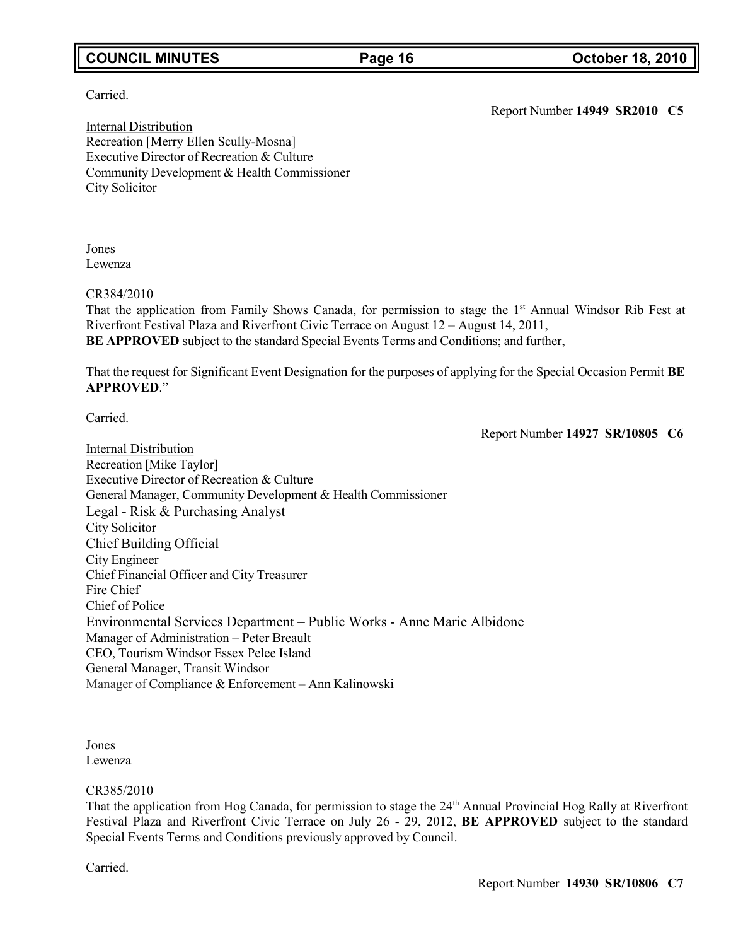# **COUNCIL MINUTES Page 16 October 18, 2010**

Carried.

Report Number **14949 SR2010 C5**

Internal Distribution Recreation [Merry Ellen Scully-Mosna] Executive Director of Recreation & Culture Community Development & Health Commissioner City Solicitor

Jones Lewenza

CR384/2010

That the application from Family Shows Canada, for permission to stage the 1st Annual Windsor Rib Fest at Riverfront Festival Plaza and Riverfront Civic Terrace on August 12 – August 14, 2011, **BE APPROVED** subject to the standard Special Events Terms and Conditions; and further,

That the request for Significant Event Designation for the purposes of applying for the Special Occasion Permit **BE APPROVED**."

Carried.

Report Number **14927 SR/10805 C6**

Internal Distribution Recreation [Mike Taylor] Executive Director of Recreation & Culture General Manager, Community Development & Health Commissioner Legal - Risk & Purchasing Analyst City Solicitor Chief Building Official City Engineer Chief Financial Officer and City Treasurer Fire Chief Chief of Police Environmental Services Department – Public Works - Anne Marie Albidone Manager of Administration – Peter Breault CEO, Tourism Windsor Essex Pelee Island General Manager, Transit Windsor Manager of Compliance & Enforcement – Ann Kalinowski

Jones Lewenza

### CR385/2010

That the application from Hog Canada, for permission to stage the 24<sup>th</sup> Annual Provincial Hog Rally at Riverfront Festival Plaza and Riverfront Civic Terrace on July 26 - 29, 2012, **BE APPROVED** subject to the standard Special Events Terms and Conditions previously approved by Council.

Carried.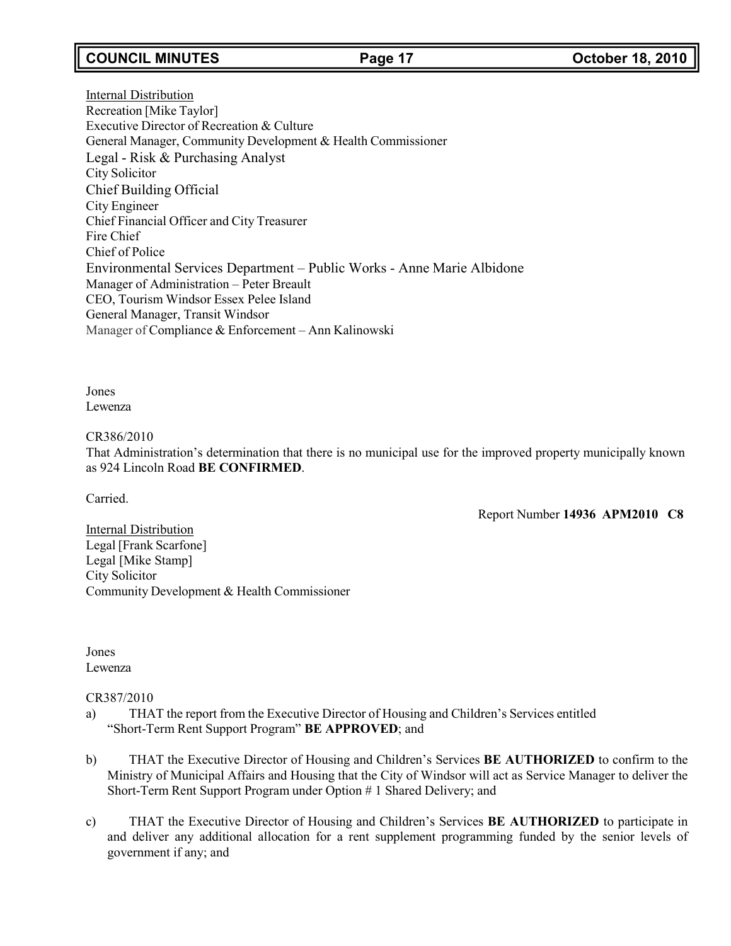# **COUNCIL MINUTES Page 17 October 18, 2010**

Internal Distribution Recreation [Mike Taylor] Executive Director of Recreation & Culture General Manager, Community Development & Health Commissioner Legal - Risk & Purchasing Analyst City Solicitor Chief Building Official City Engineer Chief Financial Officer and City Treasurer Fire Chief Chief of Police Environmental Services Department – Public Works - Anne Marie Albidone Manager of Administration – Peter Breault CEO, Tourism Windsor Essex Pelee Island General Manager, Transit Windsor Manager of Compliance & Enforcement – Ann Kalinowski

Jones Lewenza

### CR386/2010

That Administration's determination that there is no municipal use for the improved property municipally known as 924 Lincoln Road **BE CONFIRMED**.

Carried.

Report Number **14936 APM2010 C8**

Internal Distribution Legal [Frank Scarfone] Legal [Mike Stamp] City Solicitor Community Development & Health Commissioner

Jones Lewenza

### CR387/2010

- a) THAT the report from the Executive Director of Housing and Children's Services entitled "Short-Term Rent Support Program" **BE APPROVED**; and
- b) THAT the Executive Director of Housing and Children's Services **BE AUTHORIZED** to confirm to the Ministry of Municipal Affairs and Housing that the City of Windsor will act as Service Manager to deliver the Short-Term Rent Support Program under Option # 1 Shared Delivery; and
- c) THAT the Executive Director of Housing and Children's Services **BE AUTHORIZED** to participate in and deliver any additional allocation for a rent supplement programming funded by the senior levels of government if any; and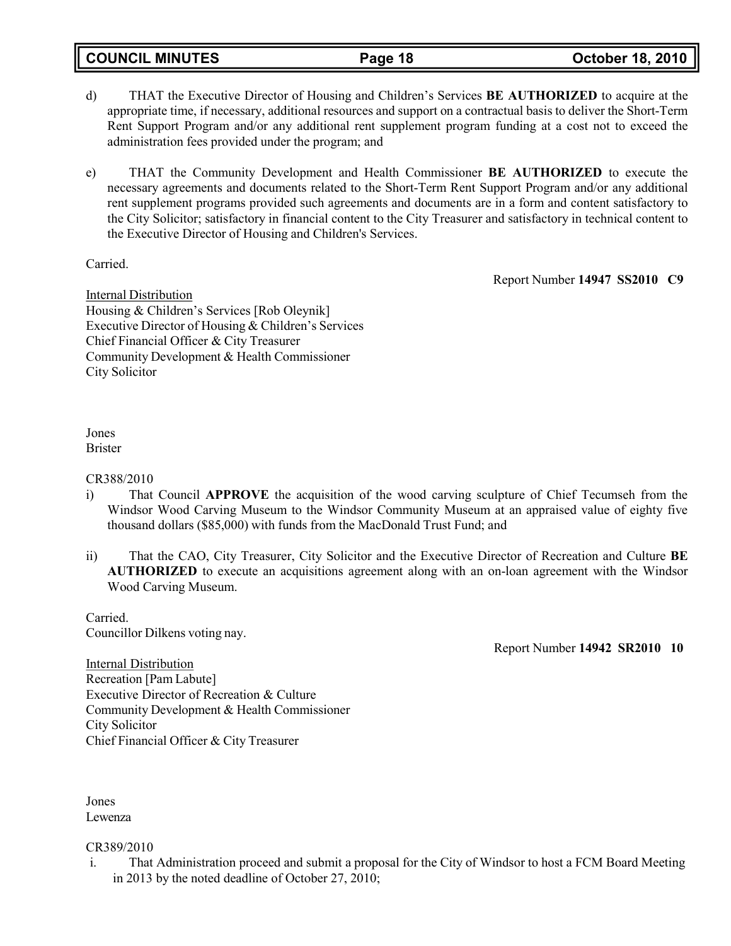**COUNCIL MINUTES Page 18 October 18, 2010**

- d) THAT the Executive Director of Housing and Children's Services **BE AUTHORIZED** to acquire at the appropriate time, if necessary, additional resources and support on a contractual basis to deliver the Short-Term Rent Support Program and/or any additional rent supplement program funding at a cost not to exceed the administration fees provided under the program; and
- e) THAT the Community Development and Health Commissioner **BE AUTHORIZED** to execute the necessary agreements and documents related to the Short-Term Rent Support Program and/or any additional rent supplement programs provided such agreements and documents are in a form and content satisfactory to the City Solicitor; satisfactory in financial content to the City Treasurer and satisfactory in technical content to the Executive Director of Housing and Children's Services.

Carried.

Report Number **14947 SS2010 C9**

Internal Distribution Housing & Children's Services [Rob Oleynik] Executive Director of Housing & Children's Services Chief Financial Officer & City Treasurer Community Development & Health Commissioner City Solicitor

Jones Brister

### CR388/2010

- i) That Council **APPROVE** the acquisition of the wood carving sculpture of Chief Tecumseh from the Windsor Wood Carving Museum to the Windsor Community Museum at an appraised value of eighty five thousand dollars (\$85,000) with funds from the MacDonald Trust Fund; and
- ii) That the CAO, City Treasurer, City Solicitor and the Executive Director of Recreation and Culture **BE AUTHORIZED** to execute an acquisitions agreement along with an on-loan agreement with the Windsor Wood Carving Museum.

Carried. Councillor Dilkens voting nay.

Report Number **14942 SR2010 10**

**Internal Distribution** Recreation [Pam Labute] Executive Director of Recreation & Culture Community Development & Health Commissioner City Solicitor Chief Financial Officer & City Treasurer

Jones Lewenza

### CR389/2010

i. That Administration proceed and submit a proposal for the City of Windsor to host a FCM Board Meeting in 2013 by the noted deadline of October 27, 2010;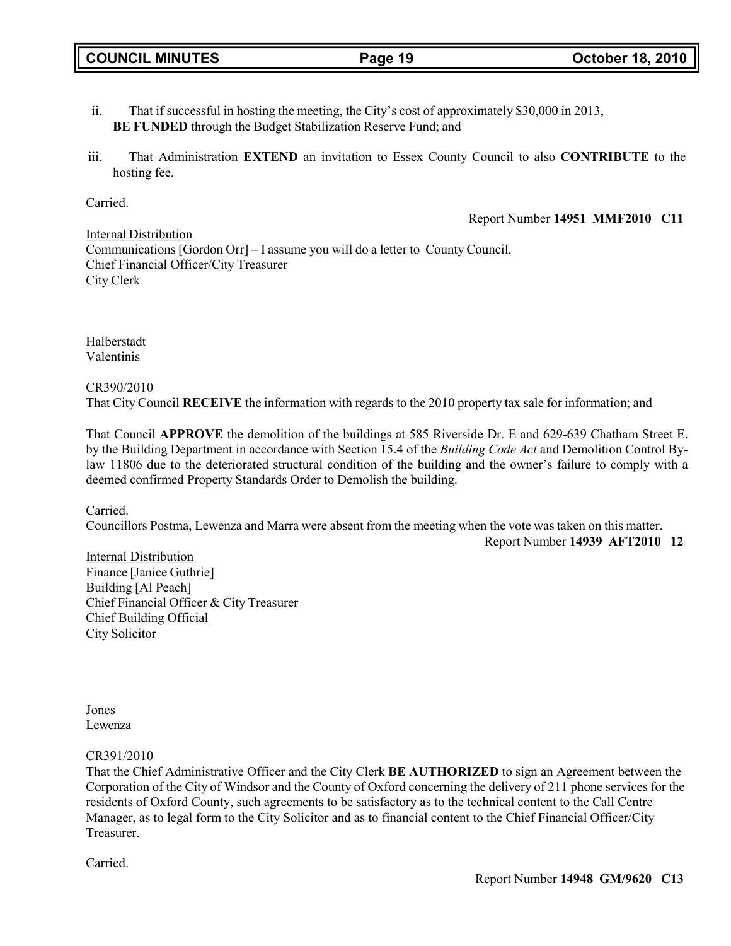- ii. That if successful in hosting the meeting, the City's cost of approximately \$30,000 in 2013, **BE FUNDED** through the Budget Stabilization Reserve Fund; and
- iii. That Administration **EXTEND** an invitation to Essex County Council to also **CONTRIBUTE** to the hosting fee.

### Carried.

Report Number **14951 MMF2010 C11**

Internal Distribution Communications [Gordon Orr] – I assume you will do a letter to County Council. Chief Financial Officer/City Treasurer City Clerk

Halberstadt Valentinis

CR390/2010

That City Council **RECEIVE** the information with regards to the 2010 property tax sale for information; and

That Council **APPROVE** the demolition of the buildings at 585 Riverside Dr. E and 629-639 Chatham Street E. by the Building Department in accordance with Section 15.4 of the *Building Code Act* and Demolition Control Bylaw 11806 due to the deteriorated structural condition of the building and the owner's failure to comply with a deemed confirmed Property Standards Order to Demolish the building.

Carried.

Councillors Postma, Lewenza and Marra were absent from the meeting when the vote was taken on this matter.

Report Number **14939 AFT2010 12**

Internal Distribution Finance [Janice Guthrie] Building [Al Peach] Chief Financial Officer & City Treasurer Chief Building Official City Solicitor

Jones Lewenza

CR391/2010

That the Chief Administrative Officer and the City Clerk **BE AUTHORIZED** to sign an Agreement between the Corporation of the City of Windsor and the County of Oxford concerning the delivery of 211 phone services for the residents of Oxford County, such agreements to be satisfactory as to the technical content to the Call Centre Manager, as to legal form to the City Solicitor and as to financial content to the Chief Financial Officer/City Treasurer.

Carried.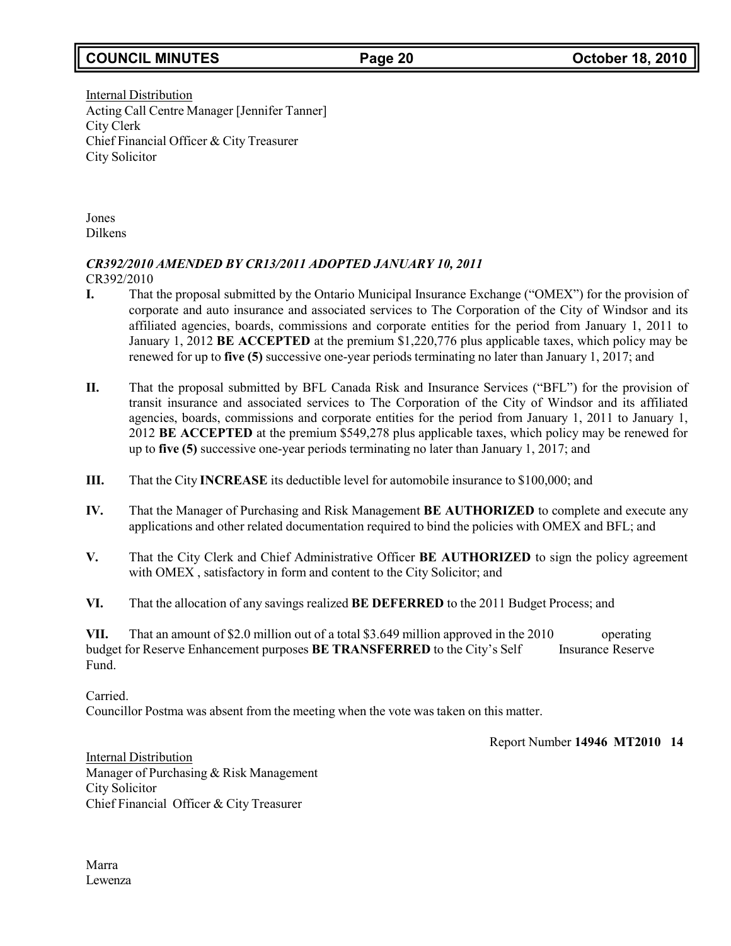# **COUNCIL MINUTES Page 20 October 18, 2010**

Internal Distribution Acting Call Centre Manager [Jennifer Tanner] City Clerk Chief Financial Officer & City Treasurer City Solicitor

Jones Dilkens

# *CR392/2010 AMENDED BY CR13/2011 ADOPTED JANUARY 10, 2011*

CR392/2010

- **I.** That the proposal submitted by the Ontario Municipal Insurance Exchange ("OMEX") for the provision of corporate and auto insurance and associated services to The Corporation of the City of Windsor and its affiliated agencies, boards, commissions and corporate entities for the period from January 1, 2011 to January 1, 2012 **BE ACCEPTED** at the premium \$1,220,776 plus applicable taxes, which policy may be renewed for up to **five (5)** successive one-year periods terminating no later than January 1, 2017; and
- **II.** That the proposal submitted by BFL Canada Risk and Insurance Services ("BFL") for the provision of transit insurance and associated services to The Corporation of the City of Windsor and its affiliated agencies, boards, commissions and corporate entities for the period from January 1, 2011 to January 1, 2012 **BE ACCEPTED** at the premium \$549,278 plus applicable taxes, which policy may be renewed for up to **five (5)** successive one-year periods terminating no later than January 1, 2017; and
- **III.** That the City **INCREASE** its deductible level for automobile insurance to \$100,000; and
- **IV.** That the Manager of Purchasing and Risk Management **BE AUTHORIZED** to complete and execute any applications and other related documentation required to bind the policies with OMEX and BFL; and
- **V.** That the City Clerk and Chief Administrative Officer **BE AUTHORIZED** to sign the policy agreement with OMEX , satisfactory in form and content to the City Solicitor; and
- **VI.** That the allocation of any savings realized **BE DEFERRED** to the 2011 Budget Process; and

**VII.** That an amount of \$2.0 million out of a total \$3.649 million approved in the 2010 operating budget for Reserve Enhancement purposes **BE TRANSFERRED** to the City's Self Insurance Reserve Fund.

Carried.

Councillor Postma was absent from the meeting when the vote was taken on this matter.

Report Number **14946 MT2010 14**

Internal Distribution Manager of Purchasing & Risk Management City Solicitor Chief Financial Officer & City Treasurer

Marra Lewenza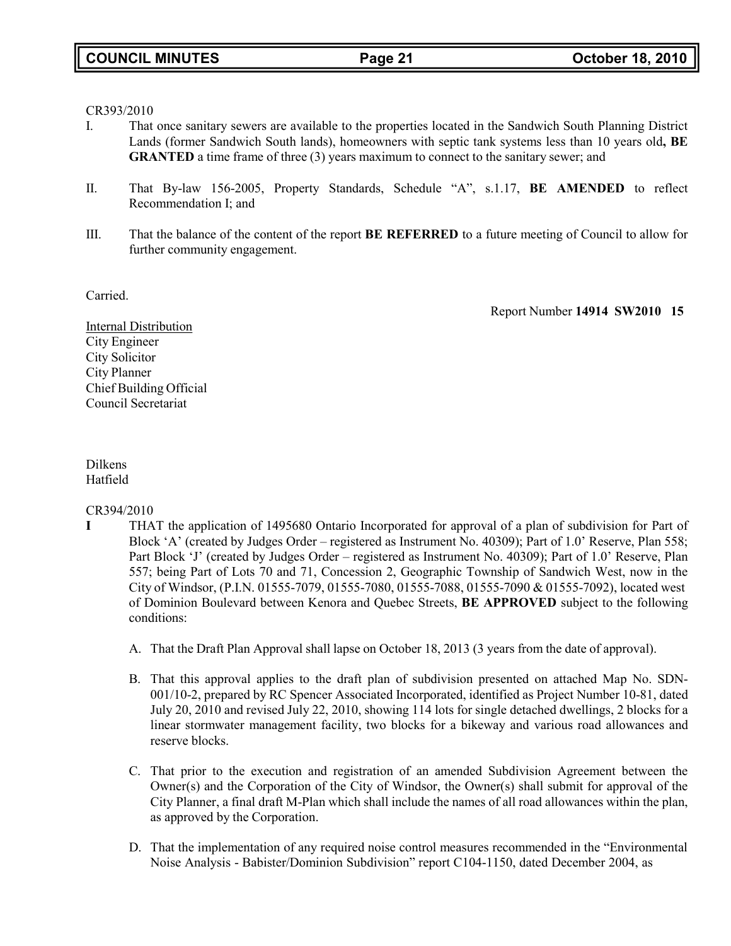### CR393/2010

- I. That once sanitary sewers are available to the properties located in the Sandwich South Planning District Lands (former Sandwich South lands), homeowners with septic tank systems less than 10 years old**, BE GRANTED** a time frame of three (3) years maximum to connect to the sanitary sewer; and
- II. That By-law 156-2005, Property Standards, Schedule "A", s.1.17, **BE AMENDED** to reflect Recommendation I; and
- III. That the balance of the content of the report **BE REFERRED** to a future meeting of Council to allow for further community engagement.

Carried.

Report Number **14914 SW2010 15**

Internal Distribution City Engineer City Solicitor City Planner Chief Building Official Council Secretariat

## Dilkens Hatfield

### CR394/2010

- **I** THAT the application of 1495680 Ontario Incorporated for approval of a plan of subdivision for Part of Block 'A' (created by Judges Order – registered as Instrument No. 40309); Part of 1.0' Reserve, Plan 558; Part Block 'J' (created by Judges Order – registered as Instrument No. 40309); Part of 1.0' Reserve, Plan 557; being Part of Lots 70 and 71, Concession 2, Geographic Township of Sandwich West, now in the City of Windsor, (P.I.N. 01555-7079, 01555-7080, 01555-7088, 01555-7090 & 01555-7092), located west of Dominion Boulevard between Kenora and Quebec Streets, **BE APPROVED** subject to the following conditions:
	- A. That the Draft Plan Approval shall lapse on October 18, 2013 (3 years from the date of approval).
	- B. That this approval applies to the draft plan of subdivision presented on attached Map No. SDN-001/10-2, prepared by RC Spencer Associated Incorporated, identified as Project Number 10-81, dated July 20, 2010 and revised July 22, 2010, showing 114 lots for single detached dwellings, 2 blocks for a linear stormwater management facility, two blocks for a bikeway and various road allowances and reserve blocks.
	- C. That prior to the execution and registration of an amended Subdivision Agreement between the Owner(s) and the Corporation of the City of Windsor, the Owner(s) shall submit for approval of the City Planner, a final draft M-Plan which shall include the names of all road allowances within the plan, as approved by the Corporation.
	- D. That the implementation of any required noise control measures recommended in the "Environmental Noise Analysis - Babister/Dominion Subdivision" report C104-1150, dated December 2004, as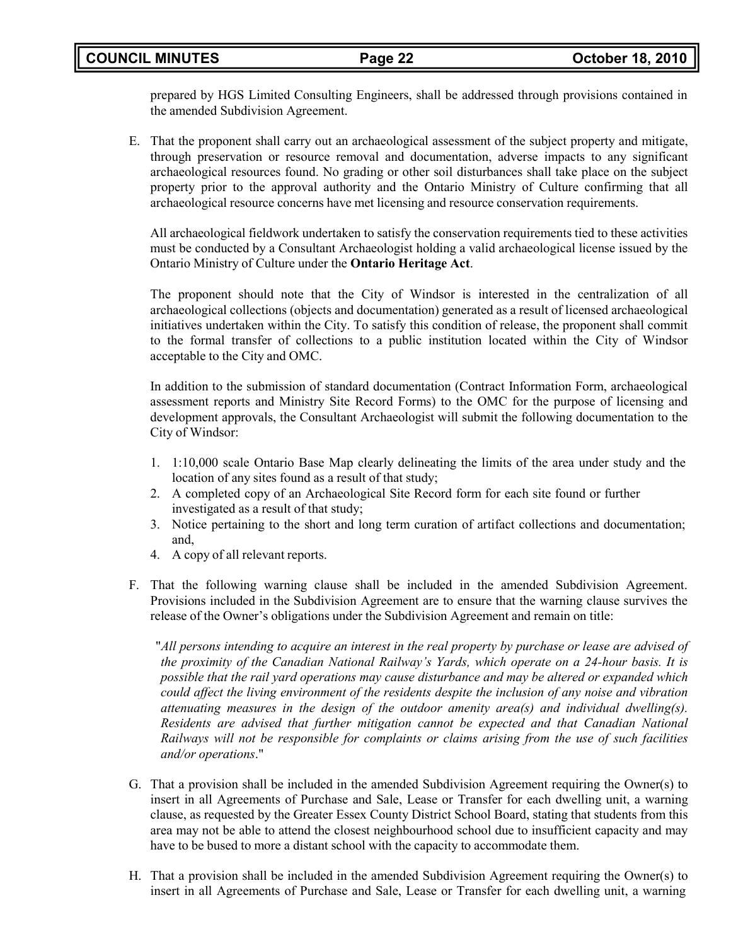# **COUNCIL MINUTES Page 22 October 18, 2010**

prepared by HGS Limited Consulting Engineers, shall be addressed through provisions contained in the amended Subdivision Agreement.

E. That the proponent shall carry out an archaeological assessment of the subject property and mitigate, through preservation or resource removal and documentation, adverse impacts to any significant archaeological resources found. No grading or other soil disturbances shall take place on the subject property prior to the approval authority and the Ontario Ministry of Culture confirming that all archaeological resource concerns have met licensing and resource conservation requirements.

All archaeological fieldwork undertaken to satisfy the conservation requirements tied to these activities must be conducted by a Consultant Archaeologist holding a valid archaeological license issued by the Ontario Ministry of Culture under the **Ontario Heritage Act**.

The proponent should note that the City of Windsor is interested in the centralization of all archaeological collections (objects and documentation) generated as a result of licensed archaeological initiatives undertaken within the City. To satisfy this condition of release, the proponent shall commit to the formal transfer of collections to a public institution located within the City of Windsor acceptable to the City and OMC.

In addition to the submission of standard documentation (Contract Information Form, archaeological assessment reports and Ministry Site Record Forms) to the OMC for the purpose of licensing and development approvals, the Consultant Archaeologist will submit the following documentation to the City of Windsor:

- 1. 1:10,000 scale Ontario Base Map clearly delineating the limits of the area under study and the location of any sites found as a result of that study;
- 2. A completed copy of an Archaeological Site Record form for each site found or further investigated as a result of that study;
- 3. Notice pertaining to the short and long term curation of artifact collections and documentation; and,
- 4. A copy of all relevant reports.
- F. That the following warning clause shall be included in the amended Subdivision Agreement. Provisions included in the Subdivision Agreement are to ensure that the warning clause survives the release of the Owner's obligations under the Subdivision Agreement and remain on title:

"*All persons intending to acquire an interest in the real property by purchase or lease are advised of the proximity of the Canadian National Railway's Yards, which operate on a 24-hour basis. It is possible that the rail yard operations may cause disturbance and may be altered or expanded which could affect the living environment of the residents despite the inclusion of any noise and vibration attenuating measures in the design of the outdoor amenity area(s) and individual dwelling(s). Residents are advised that further mitigation cannot be expected and that Canadian National Railways will not be responsible for complaints or claims arising from the use of such facilities and/or operations*."

- G. That a provision shall be included in the amended Subdivision Agreement requiring the Owner(s) to insert in all Agreements of Purchase and Sale, Lease or Transfer for each dwelling unit, a warning clause, as requested by the Greater Essex County District School Board, stating that students from this area may not be able to attend the closest neighbourhood school due to insufficient capacity and may have to be bused to more a distant school with the capacity to accommodate them.
- H. That a provision shall be included in the amended Subdivision Agreement requiring the Owner(s) to insert in all Agreements of Purchase and Sale, Lease or Transfer for each dwelling unit, a warning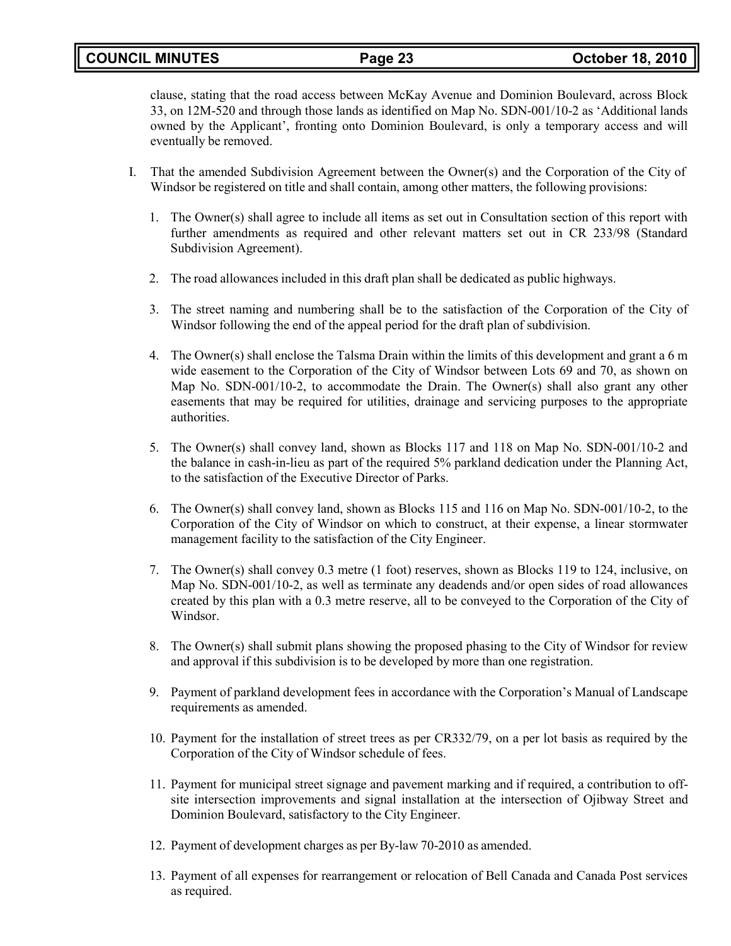clause, stating that the road access between McKay Avenue and Dominion Boulevard, across Block 33, on 12M-520 and through those lands as identified on Map No. SDN-001/10-2 as 'Additional lands owned by the Applicant', fronting onto Dominion Boulevard, is only a temporary access and will eventually be removed.

- I. That the amended Subdivision Agreement between the Owner(s) and the Corporation of the City of Windsor be registered on title and shall contain, among other matters, the following provisions:
	- 1. The Owner(s) shall agree to include all items as set out in Consultation section of this report with further amendments as required and other relevant matters set out in CR 233/98 (Standard Subdivision Agreement).
	- 2. The road allowances included in this draft plan shall be dedicated as public highways.
	- 3. The street naming and numbering shall be to the satisfaction of the Corporation of the City of Windsor following the end of the appeal period for the draft plan of subdivision.
	- 4. The Owner(s) shall enclose the Talsma Drain within the limits of this development and grant a 6 m wide easement to the Corporation of the City of Windsor between Lots 69 and 70, as shown on Map No. SDN-001/10-2, to accommodate the Drain. The Owner(s) shall also grant any other easements that may be required for utilities, drainage and servicing purposes to the appropriate authorities.
	- 5. The Owner(s) shall convey land, shown as Blocks 117 and 118 on Map No. SDN-001/10-2 and the balance in cash-in-lieu as part of the required 5% parkland dedication under the Planning Act, to the satisfaction of the Executive Director of Parks.
	- 6. The Owner(s) shall convey land, shown as Blocks 115 and 116 on Map No. SDN-001/10-2, to the Corporation of the City of Windsor on which to construct, at their expense, a linear stormwater management facility to the satisfaction of the City Engineer.
	- 7. The Owner(s) shall convey 0.3 metre (1 foot) reserves, shown as Blocks 119 to 124, inclusive, on Map No. SDN-001/10-2, as well as terminate any deadends and/or open sides of road allowances created by this plan with a 0.3 metre reserve, all to be conveyed to the Corporation of the City of Windsor.
	- 8. The Owner(s) shall submit plans showing the proposed phasing to the City of Windsor for review and approval if this subdivision is to be developed by more than one registration.
	- 9. Payment of parkland development fees in accordance with the Corporation's Manual of Landscape requirements as amended.
	- 10. Payment for the installation of street trees as per CR332/79, on a per lot basis as required by the Corporation of the City of Windsor schedule of fees.
	- 11. Payment for municipal street signage and pavement marking and if required, a contribution to offsite intersection improvements and signal installation at the intersection of Ojibway Street and Dominion Boulevard, satisfactory to the City Engineer.
	- 12. Payment of development charges as per By-law 70-2010 as amended.
	- 13. Payment of all expenses for rearrangement or relocation of Bell Canada and Canada Post services as required.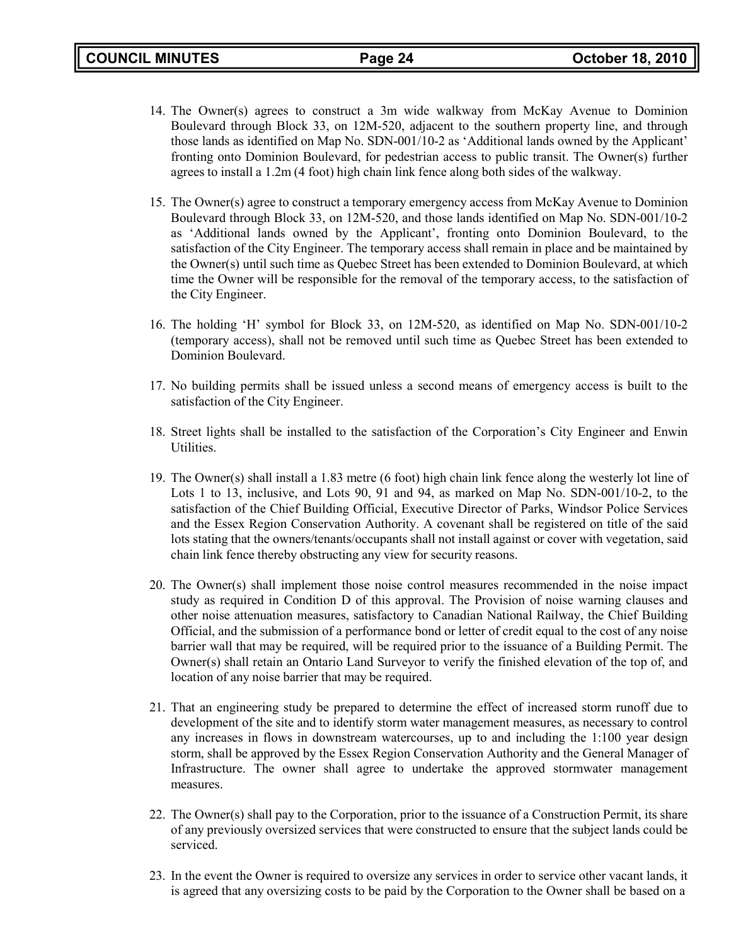- 14. The Owner(s) agrees to construct a 3m wide walkway from McKay Avenue to Dominion Boulevard through Block 33, on 12M-520, adjacent to the southern property line, and through those lands as identified on Map No. SDN-001/10-2 as 'Additional lands owned by the Applicant' fronting onto Dominion Boulevard, for pedestrian access to public transit. The Owner(s) further agrees to install a 1.2m (4 foot) high chain link fence along both sides of the walkway.
- 15. The Owner(s) agree to construct a temporary emergency access from McKay Avenue to Dominion Boulevard through Block 33, on 12M-520, and those lands identified on Map No. SDN-001/10-2 as 'Additional lands owned by the Applicant', fronting onto Dominion Boulevard, to the satisfaction of the City Engineer. The temporary access shall remain in place and be maintained by the Owner(s) until such time as Quebec Street has been extended to Dominion Boulevard, at which time the Owner will be responsible for the removal of the temporary access, to the satisfaction of the City Engineer.
- 16. The holding 'H' symbol for Block 33, on 12M-520, as identified on Map No. SDN-001/10-2 (temporary access), shall not be removed until such time as Quebec Street has been extended to Dominion Boulevard.
- 17. No building permits shall be issued unless a second means of emergency access is built to the satisfaction of the City Engineer.
- 18. Street lights shall be installed to the satisfaction of the Corporation's City Engineer and Enwin Utilities.
- 19. The Owner(s) shall install a 1.83 metre (6 foot) high chain link fence along the westerly lot line of Lots 1 to 13, inclusive, and Lots 90, 91 and 94, as marked on Map No. SDN-001/10-2, to the satisfaction of the Chief Building Official, Executive Director of Parks, Windsor Police Services and the Essex Region Conservation Authority. A covenant shall be registered on title of the said lots stating that the owners/tenants/occupants shall not install against or cover with vegetation, said chain link fence thereby obstructing any view for security reasons.
- 20. The Owner(s) shall implement those noise control measures recommended in the noise impact study as required in Condition D of this approval. The Provision of noise warning clauses and other noise attenuation measures, satisfactory to Canadian National Railway, the Chief Building Official, and the submission of a performance bond or letter of credit equal to the cost of any noise barrier wall that may be required, will be required prior to the issuance of a Building Permit. The Owner(s) shall retain an Ontario Land Surveyor to verify the finished elevation of the top of, and location of any noise barrier that may be required.
- 21. That an engineering study be prepared to determine the effect of increased storm runoff due to development of the site and to identify storm water management measures, as necessary to control any increases in flows in downstream watercourses, up to and including the 1:100 year design storm, shall be approved by the Essex Region Conservation Authority and the General Manager of Infrastructure. The owner shall agree to undertake the approved stormwater management measures.
- 22. The Owner(s) shall pay to the Corporation, prior to the issuance of a Construction Permit, its share of any previously oversized services that were constructed to ensure that the subject lands could be serviced.
- 23. In the event the Owner is required to oversize any services in order to service other vacant lands, it is agreed that any oversizing costs to be paid by the Corporation to the Owner shall be based on a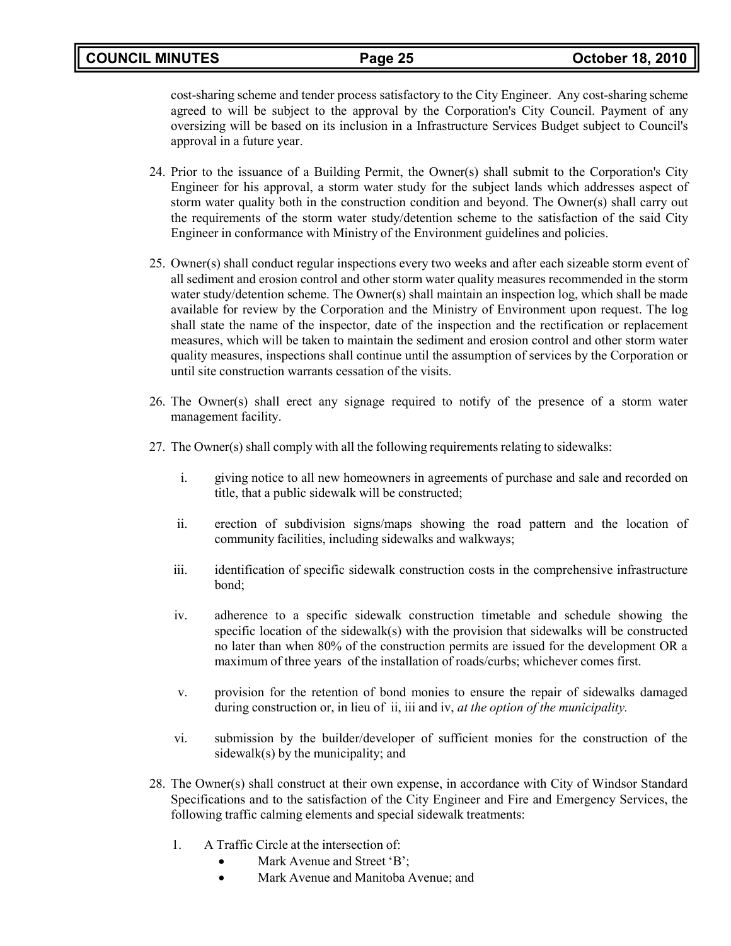cost-sharing scheme and tender process satisfactory to the City Engineer. Any cost-sharing scheme agreed to will be subject to the approval by the Corporation's City Council. Payment of any oversizing will be based on its inclusion in a Infrastructure Services Budget subject to Council's approval in a future year.

- 24. Prior to the issuance of a Building Permit, the Owner(s) shall submit to the Corporation's City Engineer for his approval, a storm water study for the subject lands which addresses aspect of storm water quality both in the construction condition and beyond. The Owner(s) shall carry out the requirements of the storm water study/detention scheme to the satisfaction of the said City Engineer in conformance with Ministry of the Environment guidelines and policies.
- 25. Owner(s) shall conduct regular inspections every two weeks and after each sizeable storm event of all sediment and erosion control and other storm water quality measures recommended in the storm water study/detention scheme. The Owner(s) shall maintain an inspection log, which shall be made available for review by the Corporation and the Ministry of Environment upon request. The log shall state the name of the inspector, date of the inspection and the rectification or replacement measures, which will be taken to maintain the sediment and erosion control and other storm water quality measures, inspections shall continue until the assumption of services by the Corporation or until site construction warrants cessation of the visits.
- 26. The Owner(s) shall erect any signage required to notify of the presence of a storm water management facility.
- 27. The Owner(s) shall comply with all the following requirements relating to sidewalks:
	- i. giving notice to all new homeowners in agreements of purchase and sale and recorded on title, that a public sidewalk will be constructed;
	- ii. erection of subdivision signs/maps showing the road pattern and the location of community facilities, including sidewalks and walkways;
	- iii. identification of specific sidewalk construction costs in the comprehensive infrastructure bond;
	- iv. adherence to a specific sidewalk construction timetable and schedule showing the specific location of the sidewalk(s) with the provision that sidewalks will be constructed no later than when 80% of the construction permits are issued for the development OR a maximum of three years of the installation of roads/curbs; whichever comes first.
	- v. provision for the retention of bond monies to ensure the repair of sidewalks damaged during construction or, in lieu of ii, iii and iv, *at the option of the municipality.*
	- vi. submission by the builder/developer of sufficient monies for the construction of the sidewalk(s) by the municipality; and
- 28. The Owner(s) shall construct at their own expense, in accordance with City of Windsor Standard Specifications and to the satisfaction of the City Engineer and Fire and Emergency Services, the following traffic calming elements and special sidewalk treatments:
	- 1. A Traffic Circle at the intersection of:
		- Mark Avenue and Street 'B':
		- Mark Avenue and Manitoba Avenue: and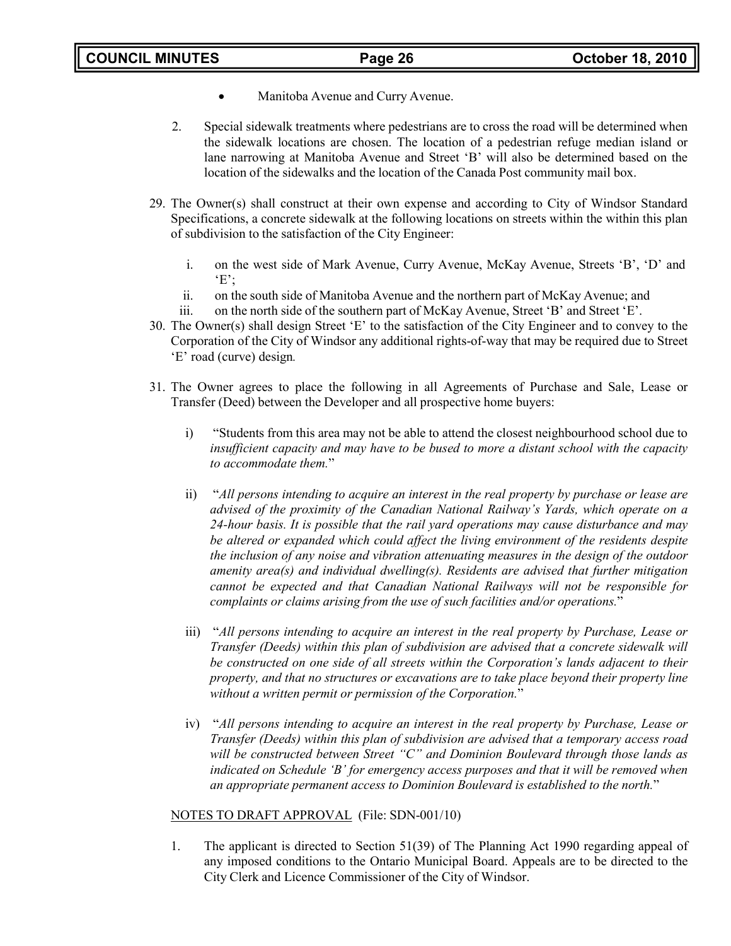- Manitoba Avenue and Curry Avenue.
- 2. Special sidewalk treatments where pedestrians are to cross the road will be determined when the sidewalk locations are chosen. The location of a pedestrian refuge median island or lane narrowing at Manitoba Avenue and Street 'B' will also be determined based on the location of the sidewalks and the location of the Canada Post community mail box.
- 29. The Owner(s) shall construct at their own expense and according to City of Windsor Standard Specifications, a concrete sidewalk at the following locations on streets within the within this plan of subdivision to the satisfaction of the City Engineer:
	- i. on the west side of Mark Avenue, Curry Avenue, McKay Avenue, Streets 'B', 'D' and  $E$ :
	- ii. on the south side of Manitoba Avenue and the northern part of McKay Avenue; and
	- iii. on the north side of the southern part of McKay Avenue, Street 'B' and Street 'E'.
- 30. The Owner(s) shall design Street 'E' to the satisfaction of the City Engineer and to convey to the Corporation of the City of Windsor any additional rights-of-way that may be required due to Street 'E' road (curve) design*.*
- 31. The Owner agrees to place the following in all Agreements of Purchase and Sale, Lease or Transfer (Deed) between the Developer and all prospective home buyers:
	- i) "Students from this area may not be able to attend the closest neighbourhood school due to *insufficient capacity and may have to be bused to more a distant school with the capacity to accommodate them.*"
	- ii) "*All persons intending to acquire an interest in the real property by purchase or lease are advised of the proximity of the Canadian National Railway's Yards, which operate on a 24-hour basis. It is possible that the rail yard operations may cause disturbance and may be altered or expanded which could affect the living environment of the residents despite the inclusion of any noise and vibration attenuating measures in the design of the outdoor amenity area(s) and individual dwelling(s). Residents are advised that further mitigation cannot be expected and that Canadian National Railways will not be responsible for complaints or claims arising from the use of such facilities and/or operations.*"
	- iii) "*All persons intending to acquire an interest in the real property by Purchase, Lease or Transfer (Deeds) within this plan of subdivision are advised that a concrete sidewalk will be constructed on one side of all streets within the Corporation's lands adjacent to their property, and that no structures or excavations are to take place beyond their property line without a written permit or permission of the Corporation.*"
	- iv) "*All persons intending to acquire an interest in the real property by Purchase, Lease or Transfer (Deeds) within this plan of subdivision are advised that a temporary access road will be constructed between Street "C" and Dominion Boulevard through those lands as indicated on Schedule 'B' for emergency access purposes and that it will be removed when an appropriate permanent access to Dominion Boulevard is established to the north.*"

### NOTES TO DRAFT APPROVAL (File: SDN-001/10)

1. The applicant is directed to Section 51(39) of The Planning Act 1990 regarding appeal of any imposed conditions to the Ontario Municipal Board. Appeals are to be directed to the City Clerk and Licence Commissioner of the City of Windsor.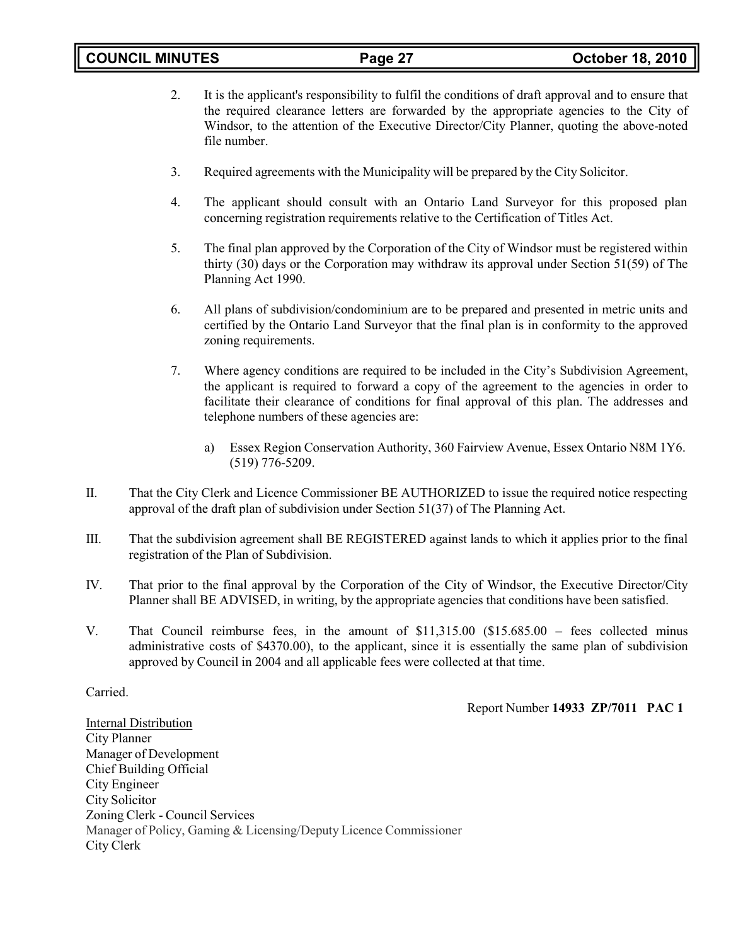- 2. It is the applicant's responsibility to fulfil the conditions of draft approval and to ensure that the required clearance letters are forwarded by the appropriate agencies to the City of Windsor, to the attention of the Executive Director/City Planner, quoting the above-noted file number.
- 3. Required agreements with the Municipality will be prepared by the City Solicitor.
- 4. The applicant should consult with an Ontario Land Surveyor for this proposed plan concerning registration requirements relative to the Certification of Titles Act.
- 5. The final plan approved by the Corporation of the City of Windsor must be registered within thirty (30) days or the Corporation may withdraw its approval under Section 51(59) of The Planning Act 1990.
- 6. All plans of subdivision/condominium are to be prepared and presented in metric units and certified by the Ontario Land Surveyor that the final plan is in conformity to the approved zoning requirements.
- 7. Where agency conditions are required to be included in the City's Subdivision Agreement, the applicant is required to forward a copy of the agreement to the agencies in order to facilitate their clearance of conditions for final approval of this plan. The addresses and telephone numbers of these agencies are:
	- a) Essex Region Conservation Authority, 360 Fairview Avenue, Essex Ontario N8M 1Y6. (519) 776-5209.
- II. That the City Clerk and Licence Commissioner BE AUTHORIZED to issue the required notice respecting approval of the draft plan of subdivision under Section 51(37) of The Planning Act.
- III. That the subdivision agreement shall BE REGISTERED against lands to which it applies prior to the final registration of the Plan of Subdivision.
- IV. That prior to the final approval by the Corporation of the City of Windsor, the Executive Director/City Planner shall BE ADVISED, in writing, by the appropriate agencies that conditions have been satisfied.
- V. That Council reimburse fees, in the amount of \$11,315.00 (\$15.685.00 fees collected minus administrative costs of \$4370.00), to the applicant, since it is essentially the same plan of subdivision approved by Council in 2004 and all applicable fees were collected at that time.

### Carried.

### Report Number **14933 ZP/7011 PAC 1**

**Internal Distribution** City Planner Manager of Development Chief Building Official City Engineer City Solicitor Zoning Clerk - Council Services Manager of Policy, Gaming & Licensing/Deputy Licence Commissioner City Clerk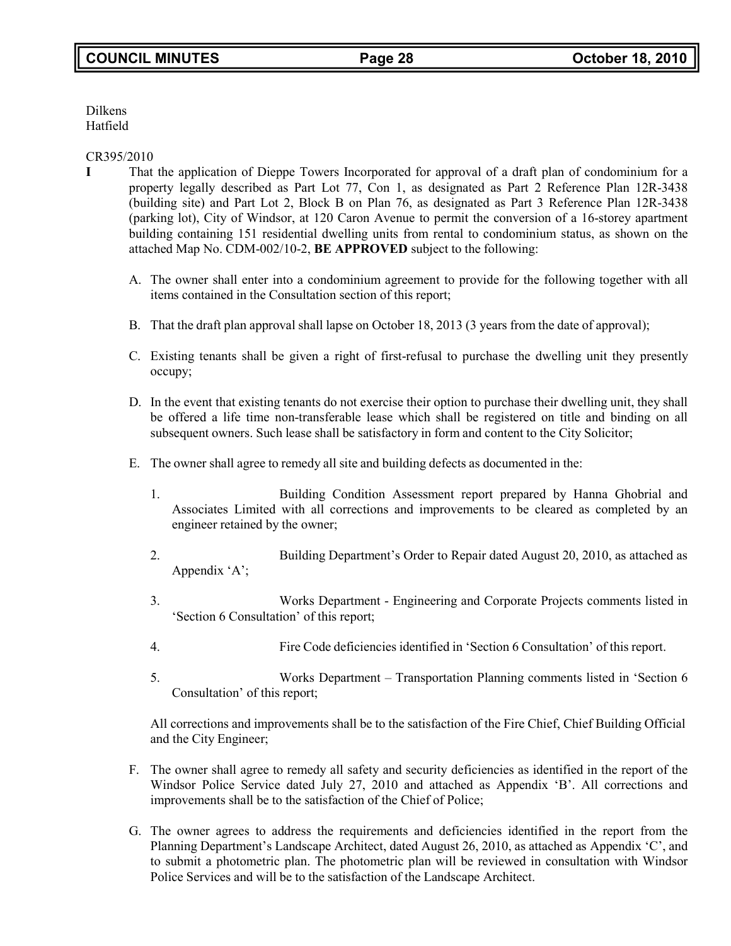Dilkens Hatfield

## CR395/2010

- **I** That the application of Dieppe Towers Incorporated for approval of a draft plan of condominium for a property legally described as Part Lot 77, Con 1, as designated as Part 2 Reference Plan 12R-3438 (building site) and Part Lot 2, Block B on Plan 76, as designated as Part 3 Reference Plan 12R-3438 (parking lot), City of Windsor, at 120 Caron Avenue to permit the conversion of a 16-storey apartment building containing 151 residential dwelling units from rental to condominium status, as shown on the attached Map No. CDM-002/10-2, **BE APPROVED** subject to the following:
	- A. The owner shall enter into a condominium agreement to provide for the following together with all items contained in the Consultation section of this report;
	- B. That the draft plan approval shall lapse on October 18, 2013 (3 years from the date of approval);
	- C. Existing tenants shall be given a right of first-refusal to purchase the dwelling unit they presently occupy;
	- D. In the event that existing tenants do not exercise their option to purchase their dwelling unit, they shall be offered a life time non-transferable lease which shall be registered on title and binding on all subsequent owners. Such lease shall be satisfactory in form and content to the City Solicitor;
	- E. The owner shall agree to remedy all site and building defects as documented in the:
		- 1. Building Condition Assessment report prepared by Hanna Ghobrial and Associates Limited with all corrections and improvements to be cleared as completed by an engineer retained by the owner;
		- 2. Building Department's Order to Repair dated August 20, 2010, as attached as Appendix 'A';
		- 3. Works Department Engineering and Corporate Projects comments listed in 'Section 6 Consultation' of this report;
		- 4. Fire Code deficiencies identified in 'Section 6 Consultation' of this report.
		- 5. Works Department Transportation Planning comments listed in 'Section 6 Consultation' of this report;

All corrections and improvements shall be to the satisfaction of the Fire Chief, Chief Building Official and the City Engineer;

- F. The owner shall agree to remedy all safety and security deficiencies as identified in the report of the Windsor Police Service dated July 27, 2010 and attached as Appendix 'B'. All corrections and improvements shall be to the satisfaction of the Chief of Police;
- G. The owner agrees to address the requirements and deficiencies identified in the report from the Planning Department's Landscape Architect, dated August 26, 2010, as attached as Appendix 'C', and to submit a photometric plan. The photometric plan will be reviewed in consultation with Windsor Police Services and will be to the satisfaction of the Landscape Architect.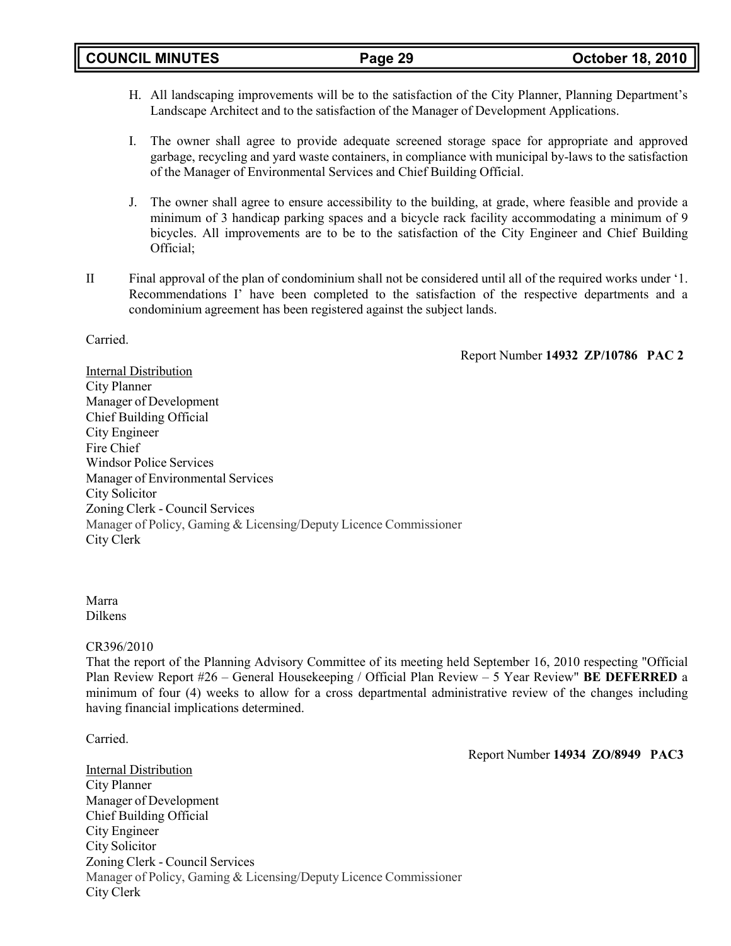- H. All landscaping improvements will be to the satisfaction of the City Planner, Planning Department's Landscape Architect and to the satisfaction of the Manager of Development Applications.
- I. The owner shall agree to provide adequate screened storage space for appropriate and approved garbage, recycling and yard waste containers, in compliance with municipal by-laws to the satisfaction of the Manager of Environmental Services and Chief Building Official.
- J. The owner shall agree to ensure accessibility to the building, at grade, where feasible and provide a minimum of 3 handicap parking spaces and a bicycle rack facility accommodating a minimum of 9 bicycles. All improvements are to be to the satisfaction of the City Engineer and Chief Building Official;
- II Final approval of the plan of condominium shall not be considered until all of the required works under '1. Recommendations I' have been completed to the satisfaction of the respective departments and a condominium agreement has been registered against the subject lands.

Carried.

Report Number **14932 ZP/10786 PAC 2**

Internal Distribution City Planner Manager of Development Chief Building Official City Engineer Fire Chief Windsor Police Services Manager of Environmental Services City Solicitor Zoning Clerk - Council Services Manager of Policy, Gaming & Licensing/Deputy Licence Commissioner City Clerk

Marra Dilkens

### CR396/2010

That the report of the Planning Advisory Committee of its meeting held September 16, 2010 respecting "Official Plan Review Report #26 – General Housekeeping / Official Plan Review – 5 Year Review" **BE DEFERRED** a minimum of four (4) weeks to allow for a cross departmental administrative review of the changes including having financial implications determined.

Carried.

Report Number **14934 ZO/8949 PAC3**

Internal Distribution City Planner Manager of Development Chief Building Official City Engineer City Solicitor Zoning Clerk - Council Services Manager of Policy, Gaming & Licensing/Deputy Licence Commissioner City Clerk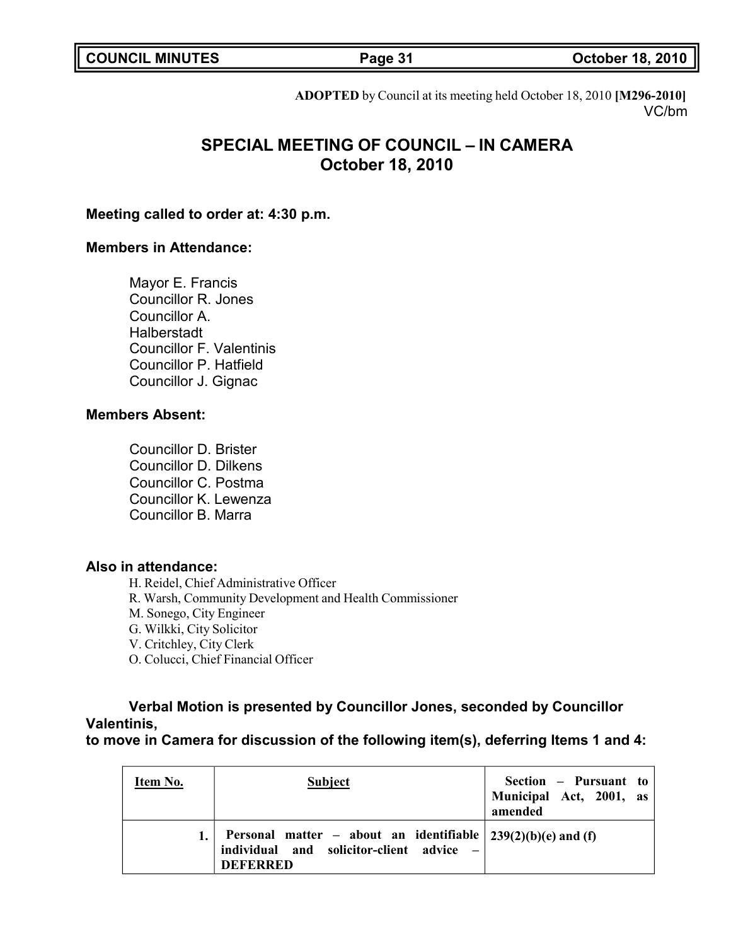**COUNCIL MINUTES Page 31 October 18, 2010**

**ADOPTED** by Council at its meeting held October 18, 2010 **[M296-2010]** VC/bm

# **SPECIAL MEETING OF COUNCIL – IN CAMERA October 18, 2010**

## **Meeting called to order at: 4:30 p.m.**

## **Members in Attendance:**

Mayor E. Francis Councillor R. Jones Councillor A. Halberstadt Councillor F. Valentinis Councillor P. Hatfield Councillor J. Gignac

## **Members Absent:**

Councillor D. Brister Councillor D. Dilkens Councillor C. Postma Councillor K. Lewenza Councillor B. Marra

## **Also in attendance:**

H. Reidel, Chief Administrative Officer

R. Warsh, Community Development and Health Commissioner

M. Sonego, City Engineer

G. Wilkki, City Solicitor

V. Critchley, City Clerk

O. Colucci, Chief Financial Officer

# **Verbal Motion is presented by Councillor Jones, seconded by Councillor Valentinis,**

**to move in Camera for discussion of the following item(s), deferring Items 1 and 4:**

| Item No. | Subject                                                                                                                        | Section – Pursuant to<br>Municipal Act, 2001, as<br>amended |
|----------|--------------------------------------------------------------------------------------------------------------------------------|-------------------------------------------------------------|
|          | Personal matter – about an identifiable $ 239(2)(b)(e)$ and (f)<br>individual and solicitor-client advice -<br><b>DEFERRED</b> |                                                             |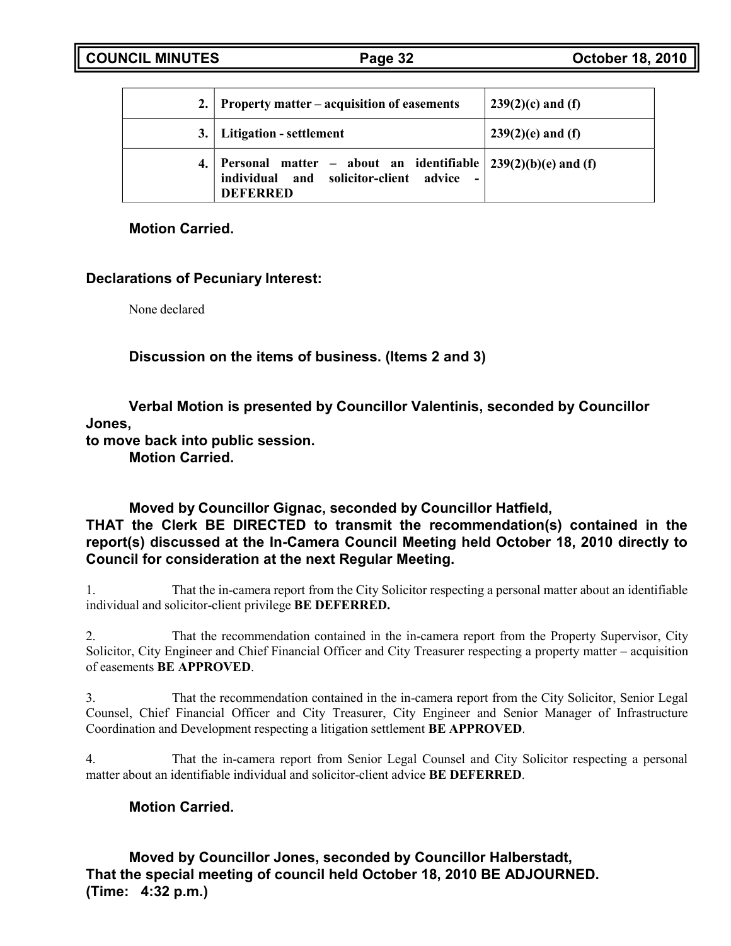| 2. Property matter – acquisition of easements                                                                                                | $239(2)(c)$ and (f) |
|----------------------------------------------------------------------------------------------------------------------------------------------|---------------------|
| 3. Litigation - settlement                                                                                                                   | $239(2)(e)$ and (f) |
| 4. Personal matter – about an identifiable $239(2)(b)(e)$ and (f)<br>individual and solicitor-client advice<br>$\sim 100$<br><b>DEFERRED</b> |                     |

# **Motion Carried.**

# **Declarations of Pecuniary Interest:**

None declared

**Discussion on the items of business. (Items 2 and 3)**

**Verbal Motion is presented by Councillor Valentinis, seconded by Councillor Jones,**

**to move back into public session.**

**Motion Carried.**

**Moved by Councillor Gignac, seconded by Councillor Hatfield, THAT the Clerk BE DIRECTED to transmit the recommendation(s) contained in the report(s) discussed at the In-Camera Council Meeting held October 18, 2010 directly to Council for consideration at the next Regular Meeting.**

1. That the in-camera report from the City Solicitor respecting a personal matter about an identifiable individual and solicitor-client privilege **BE DEFERRED.**

2. That the recommendation contained in the in-camera report from the Property Supervisor, City Solicitor, City Engineer and Chief Financial Officer and City Treasurer respecting a property matter – acquisition of easements **BE APPROVED**.

3. That the recommendation contained in the in-camera report from the City Solicitor, Senior Legal Counsel, Chief Financial Officer and City Treasurer, City Engineer and Senior Manager of Infrastructure Coordination and Development respecting a litigation settlement **BE APPROVED**.

4. That the in-camera report from Senior Legal Counsel and City Solicitor respecting a personal matter about an identifiable individual and solicitor-client advice **BE DEFERRED**.

# **Motion Carried.**

**Moved by Councillor Jones, seconded by Councillor Halberstadt, That the special meeting of council held October 18, 2010 BE ADJOURNED. (Time: 4:32 p.m.)**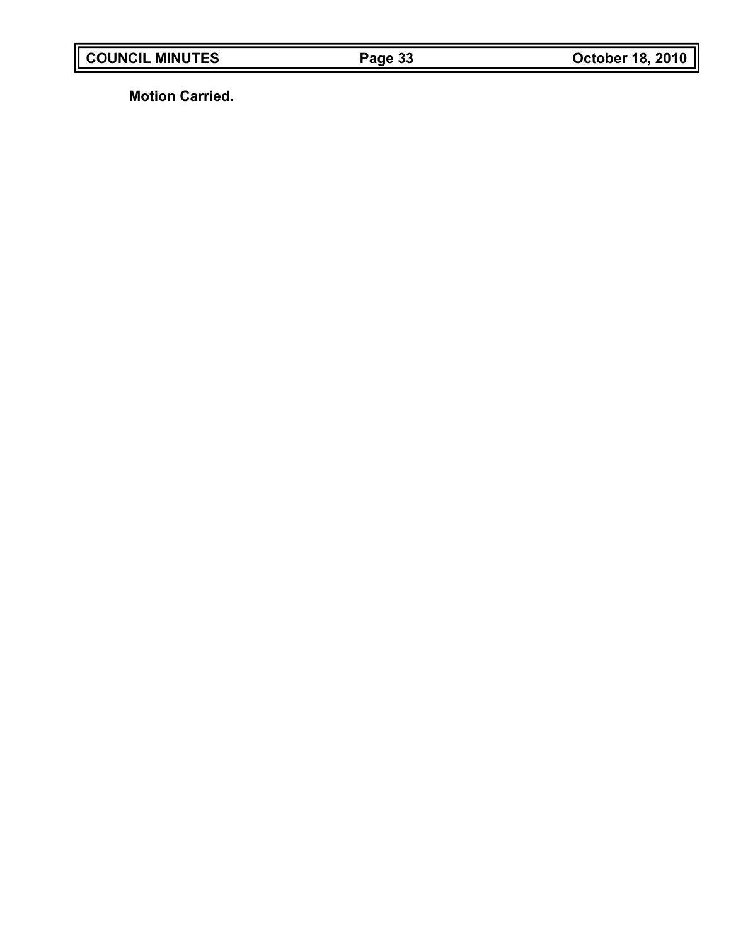**Motion Carried.**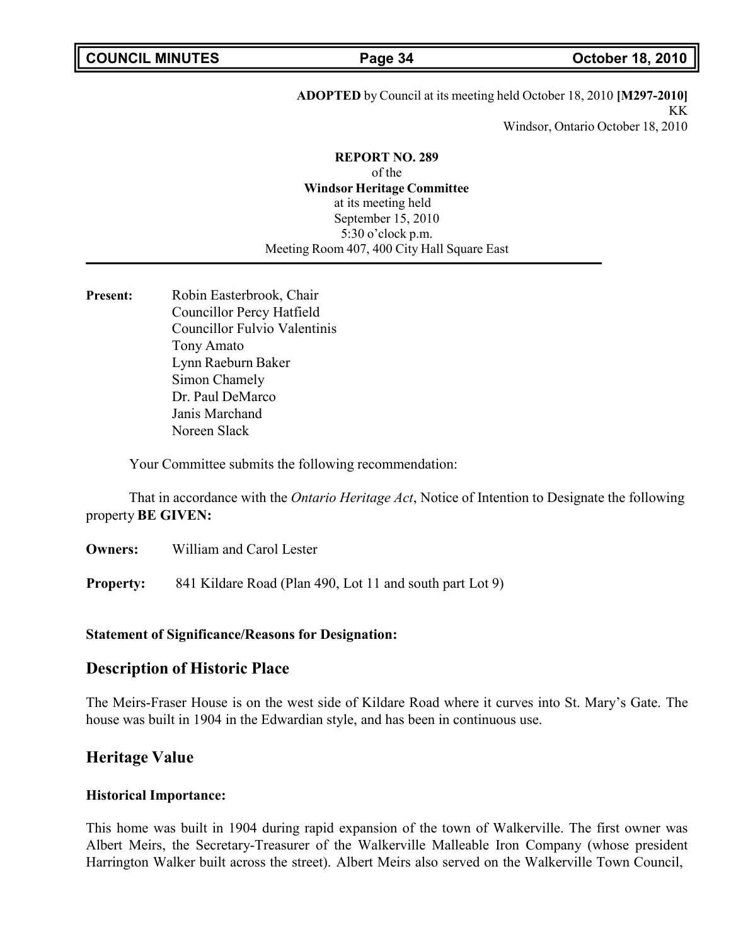### **ADOPTED** by Council at its meeting held October 18, 2010 **[M297-2010]** KK Windsor, Ontario October 18, 2010

## **REPORT NO. 289**

of the **Windsor Heritage Committee** at its meeting held September 15, 2010 5:30 o'clock p.m. Meeting Room 407, 400 City Hall Square East

**Present:** Robin Easterbrook, Chair Councillor Percy Hatfield Councillor Fulvio Valentinis Tony Amato Lynn Raeburn Baker Simon Chamely Dr. Paul DeMarco Janis Marchand Noreen Slack

Your Committee submits the following recommendation:

That in accordance with the *Ontario Heritage Act*, Notice of Intention to Designate the following property **BE GIVEN:**

**Owners:** William and Carol Lester

**Property:** 841 Kildare Road (Plan 490, Lot 11 and south part Lot 9)

### **Statement of Significance/Reasons for Designation:**

# **Description of Historic Place**

The Meirs-Fraser House is on the west side of Kildare Road where it curves into St. Mary's Gate. The house was built in 1904 in the Edwardian style, and has been in continuous use.

# **Heritage Value**

### **Historical Importance:**

This home was built in 1904 during rapid expansion of the town of Walkerville. The first owner was Albert Meirs, the Secretary-Treasurer of the Walkerville Malleable Iron Company (whose president Harrington Walker built across the street). Albert Meirs also served on the Walkerville Town Council,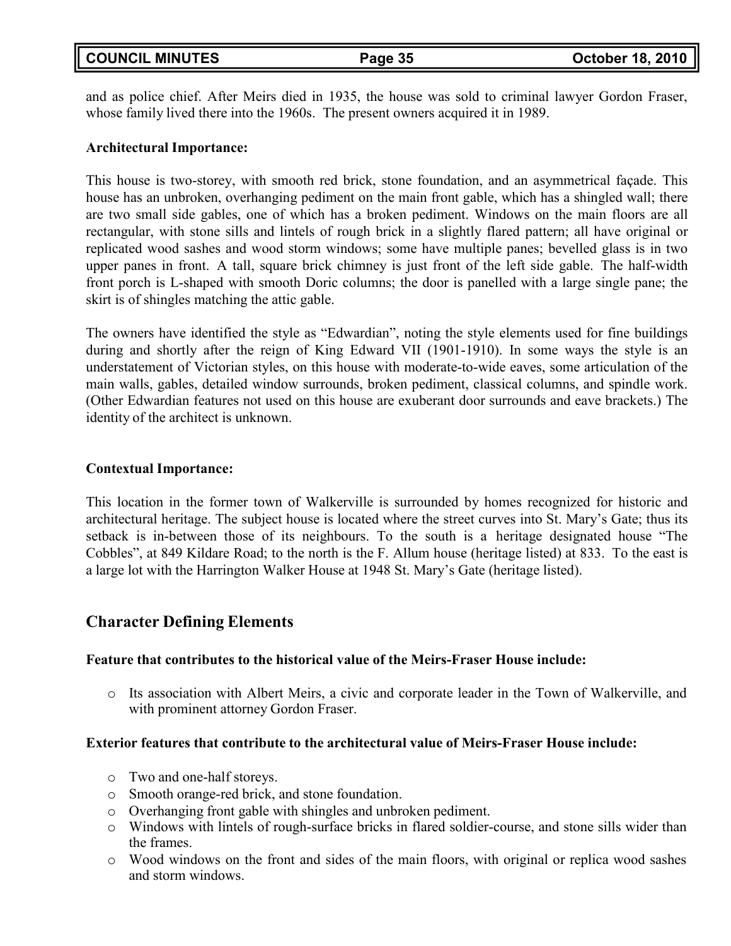| <b>COUNCIL MINUTES</b> |  |
|------------------------|--|
|------------------------|--|

and as police chief. After Meirs died in 1935, the house was sold to criminal lawyer Gordon Fraser, whose family lived there into the 1960s. The present owners acquired it in 1989.

# **Architectural Importance:**

This house is two-storey, with smooth red brick, stone foundation, and an asymmetrical façade. This house has an unbroken, overhanging pediment on the main front gable, which has a shingled wall; there are two small side gables, one of which has a broken pediment. Windows on the main floors are all rectangular, with stone sills and lintels of rough brick in a slightly flared pattern; all have original or replicated wood sashes and wood storm windows; some have multiple panes; bevelled glass is in two upper panes in front. A tall, square brick chimney is just front of the left side gable. The half-width front porch is L-shaped with smooth Doric columns; the door is panelled with a large single pane; the skirt is of shingles matching the attic gable.

The owners have identified the style as "Edwardian", noting the style elements used for fine buildings during and shortly after the reign of King Edward VII (1901-1910). In some ways the style is an understatement of Victorian styles, on this house with moderate-to-wide eaves, some articulation of the main walls, gables, detailed window surrounds, broken pediment, classical columns, and spindle work. (Other Edwardian features not used on this house are exuberant door surrounds and eave brackets.) The identity of the architect is unknown.

# **Contextual Importance:**

This location in the former town of Walkerville is surrounded by homes recognized for historic and architectural heritage. The subject house is located where the street curves into St. Mary's Gate; thus its setback is in-between those of its neighbours. To the south is a heritage designated house "The Cobbles", at 849 Kildare Road; to the north is the F. Allum house (heritage listed) at 833. To the east is a large lot with the Harrington Walker House at 1948 St. Mary's Gate (heritage listed).

# **Character Defining Elements**

# **Feature that contributes to the historical value of the Meirs-Fraser House include:**

o Its association with Albert Meirs, a civic and corporate leader in the Town of Walkerville, and with prominent attorney Gordon Fraser.

# **Exterior features that contribute to the architectural value of Meirs-Fraser House include:**

- o Two and one-half storeys.
- o Smooth orange-red brick, and stone foundation.
- o Overhanging front gable with shingles and unbroken pediment.
- o Windows with lintels of rough-surface bricks in flared soldier-course, and stone sills wider than the frames.
- o Wood windows on the front and sides of the main floors, with original or replica wood sashes and storm windows.